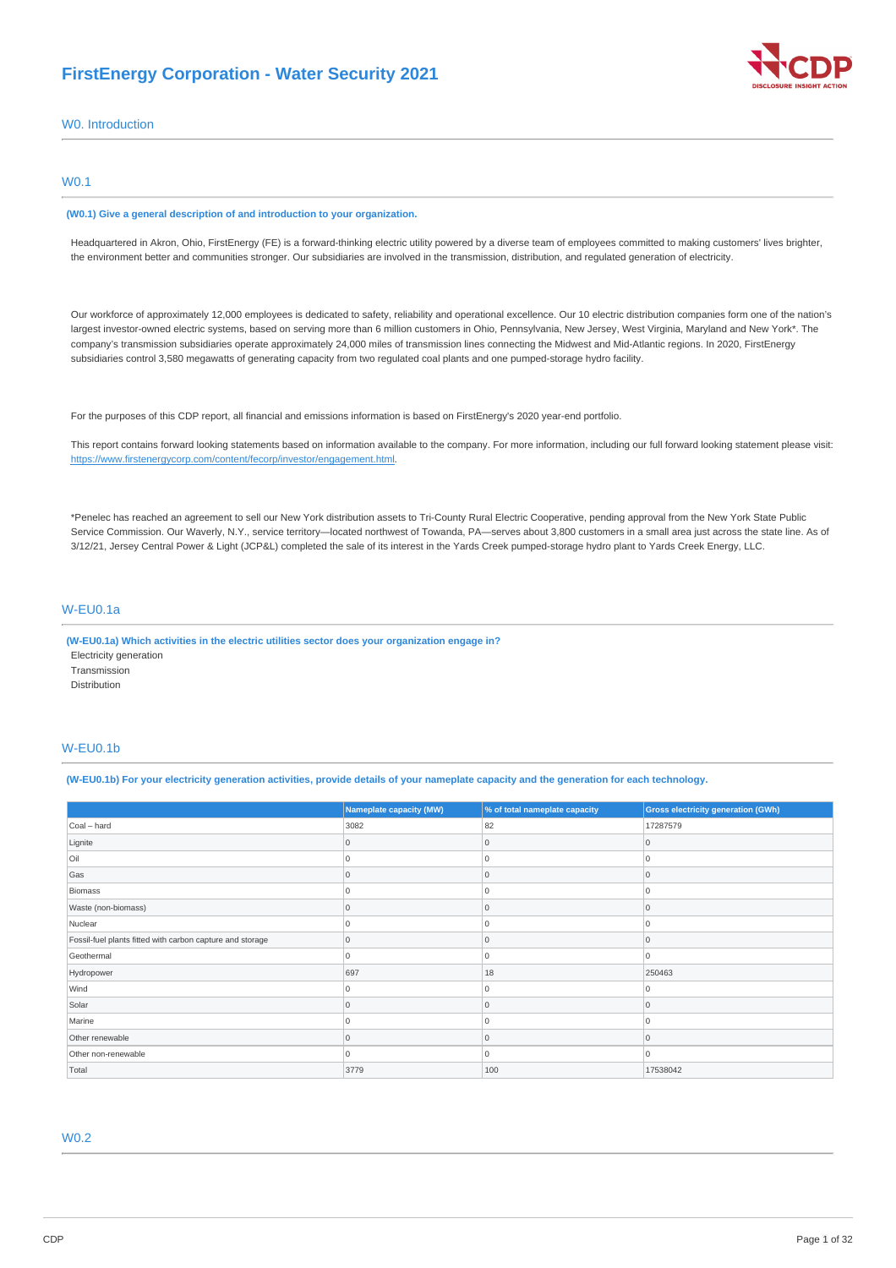## **FirstEnergy Corporation - Water Security 2021**



W0. Introduction

## W0.1

#### **(W0.1) Give a general description of and introduction to your organization.**

Headquartered in Akron, Ohio, FirstEnergy (FE) is a forward-thinking electric utility powered by a diverse team of employees committed to making customers' lives brighter, the environment better and communities stronger. Our subsidiaries are involved in the transmission, distribution, and regulated generation of electricity.

Our workforce of approximately 12,000 employees is dedicated to safety, reliability and operational excellence. Our 10 electric distribution companies form one of the nation's largest investor-owned electric systems, based on serving more than 6 million customers in Ohio, Pennsylvania, New Jersey, West Virginia, Maryland and New York\*. The company's transmission subsidiaries operate approximately 24,000 miles of transmission lines connecting the Midwest and Mid-Atlantic regions. In 2020, FirstEnergy subsidiaries control 3,580 megawatts of generating capacity from two regulated coal plants and one pumped-storage hydro facility.

For the purposes of this CDP report, all financial and emissions information is based on FirstEnergy's 2020 year-end portfolio.

This report contains forward looking statements based on information available to the company. For more information, including our full forward looking statement please visit: <https://www.firstenergycorp.com/content/fecorp/investor/engagement.html>.

\*Penelec has reached an agreement to sell our New York distribution assets to Tri-County Rural Electric Cooperative, pending approval from the New York State Public Service Commission. Our Waverly, N.Y., service territory—located northwest of Towanda, PA—serves about 3,800 customers in a small area just across the state line. As of 3/12/21, Jersey Central Power & Light (JCP&L) completed the sale of its interest in the Yards Creek pumped-storage hydro plant to Yards Creek Energy, LLC.

## W-EU0.1a

**(W-EU0.1a) Which activities in the electric utilities sector does your organization engage in?** Electricity generation Transmission Distribution

## W-EU0.1b

(W-EU0.1b) For your electricity generation activities, provide details of your nameplate capacity and the generation for each technology.

|                                                           | <b>Nameplate capacity (MW)</b> | % of total nameplate capacity | <b>Gross electricity generation (GWh)</b> |
|-----------------------------------------------------------|--------------------------------|-------------------------------|-------------------------------------------|
| Coal - hard                                               | 3082                           | 82                            | 17287579                                  |
| Lignite                                                   | 0                              | Ω                             | 0                                         |
| Oil                                                       | 0                              |                               | $\Omega$                                  |
| Gas                                                       | 0                              | 0                             | $\mathbf 0$                               |
| Biomass                                                   | U                              | U                             | $\Omega$                                  |
| Waste (non-biomass)                                       | U                              |                               | $\Omega$                                  |
| Nuclear                                                   | 0                              |                               | 0                                         |
| Fossil-fuel plants fitted with carbon capture and storage | $\overline{0}$                 | 0                             | 0                                         |
| Geothermal                                                | $\Omega$                       | n                             | $\Omega$                                  |
| Hydropower                                                | 697                            | 18                            | 250463                                    |
| Wind                                                      | $\Omega$                       |                               | $\Omega$                                  |
| Solar                                                     |                                |                               | $\Omega$                                  |
| Marine                                                    | $\Omega$                       |                               | 0                                         |
| Other renewable                                           | $\Omega$                       | U                             | $\Omega$                                  |
| Other non-renewable                                       | $\Omega$                       | O                             | 0                                         |
| Total                                                     | 3779                           | 100                           | 17538042                                  |

## W0.2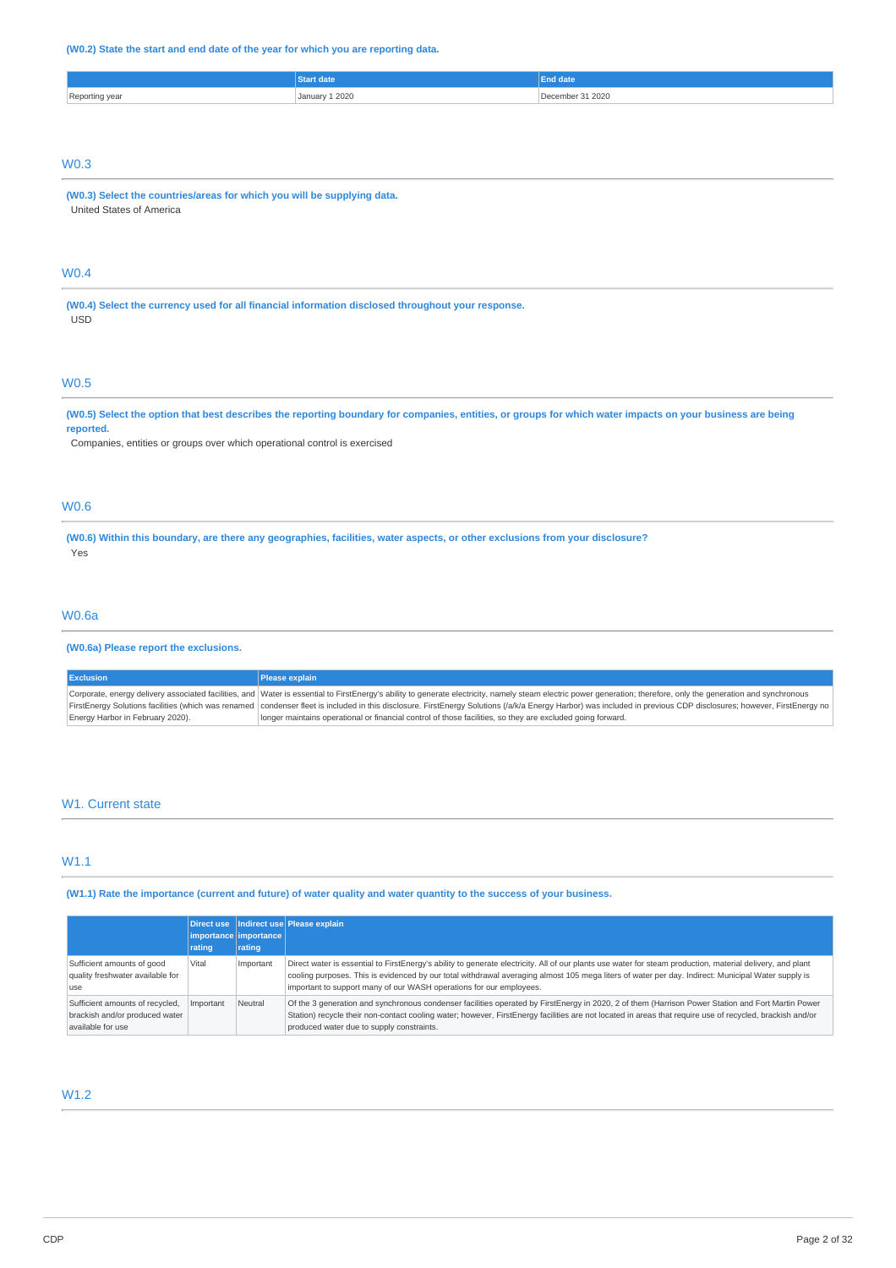## **(W0.2) State the start and end date of the year for which you are reporting data.**

|                       |        | date. |
|-----------------------|--------|-------|
| Reporting year<br>. . | L 2020 | 2020  |
|                       |        |       |

## W0.3

**(W0.3) Select the countries/areas for which you will be supplying data.** United States of America

## W0.4

**(W0.4) Select the currency used for all financial information disclosed throughout your response.** USD

## W0.5

#### (W0.5) Select the option that best describes the reporting boundary for companies, entities, or groups for which water impacts on your business are being **reported.**

Companies, entities or groups over which operational control is exercised

## W0.6

(W0.6) Within this boundary, are there any geographies, facilities, water aspects, or other exclusions from your disclosure? Yes

## W0.6a

## **(W0.6a) Please report the exclusions.**

| <b>Exclusion</b>                 | <b>Please explain</b>                                                                                                                                                                                                |
|----------------------------------|----------------------------------------------------------------------------------------------------------------------------------------------------------------------------------------------------------------------|
|                                  | Corporate, energy delivery associated facilities, and Water is essential to FirstEnergy's ability to generate electricity, namely steam electric power generation; therefore, only the generation and synchronous    |
|                                  | FirstEnergy Solutions facilities (which was renamed   condenser fleet is included in this disclosure. FirstEnergy Solutions (/a/k/a Energy Harbor) was included in previous CDP disclosures; however, FirstEnergy no |
| Energy Harbor in February 2020). | longer maintains operational or financial control of those facilities, so they are excluded going forward.                                                                                                           |

## W<sub>1</sub>. Current state

## W1.1

(W1.1) Rate the importance (current and future) of water quality and water quantity to the success of your business.

|                                                                                        | <b>rating</b> | importance importance<br>rating | Direct use   Indirect use   Please explain                                                                                                                                                                                                                                                                                                                                              |
|----------------------------------------------------------------------------------------|---------------|---------------------------------|-----------------------------------------------------------------------------------------------------------------------------------------------------------------------------------------------------------------------------------------------------------------------------------------------------------------------------------------------------------------------------------------|
| Sufficient amounts of good<br>quality freshwater available for<br><b>LISP</b>          | Vital         | Important                       | Direct water is essential to FirstEnergy's ability to generate electricity. All of our plants use water for steam production, material delivery, and plant<br>cooling purposes. This is evidenced by our total withdrawal averaging almost 105 mega liters of water per day. Indirect: Municipal Water supply is<br>important to support many of our WASH operations for our employees. |
| Sufficient amounts of recycled,<br>brackish and/or produced water<br>available for use | Important     | Neutral                         | Of the 3 generation and synchronous condenser facilities operated by FirstEnergy in 2020, 2 of them (Harrison Power Station and Fort Martin Power<br>Station) recycle their non-contact cooling water; however, FirstEnergy facilities are not located in areas that require use of recycled, brackish and/or<br>produced water due to supply constraints.                              |

## W1.2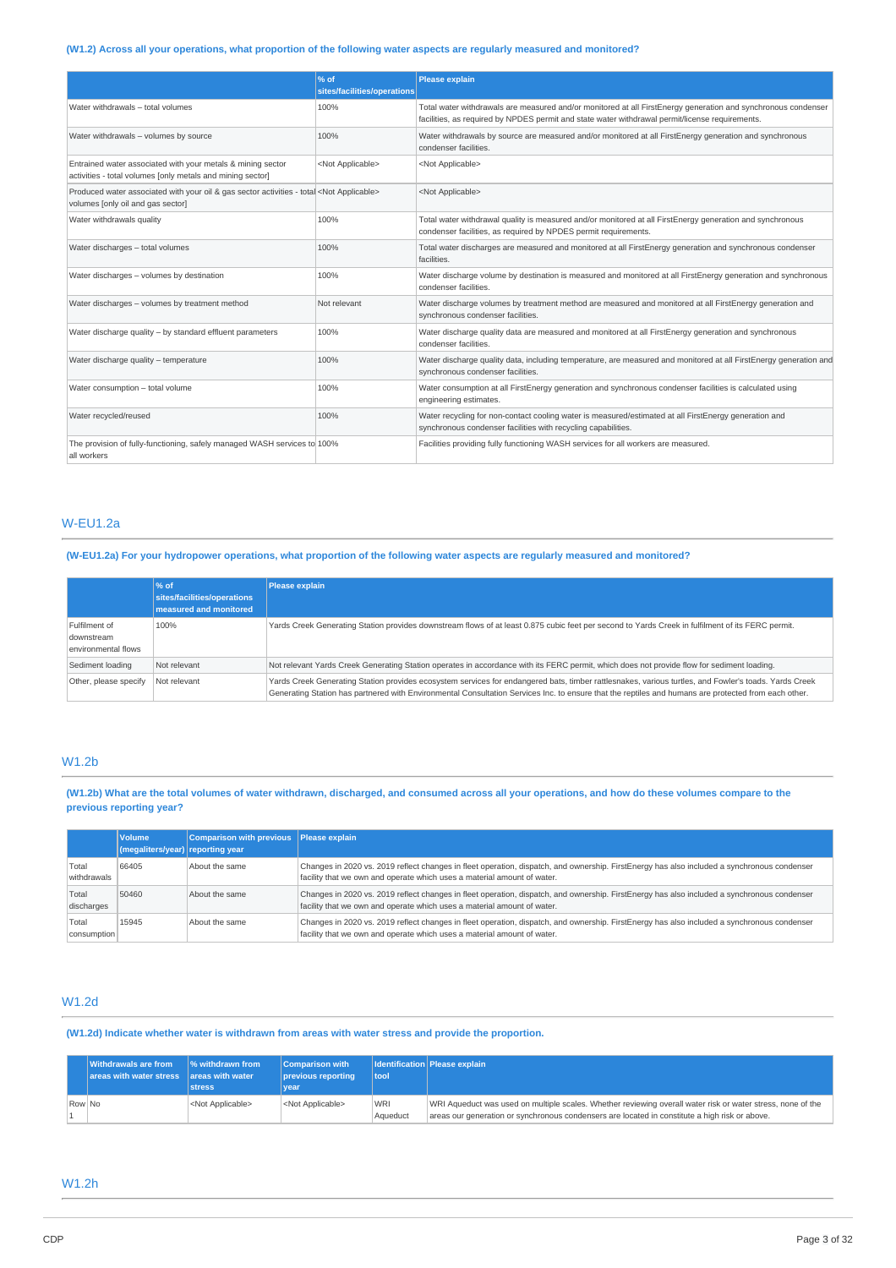## (W1.2) Across all your operations, what proportion of the following water aspects are regularly measured and monitored?

|                                                                                                                                         | $\frac{96}{6}$ of<br>sites/facilities/operations | <b>Please explain</b>                                                                                                                                                                                            |
|-----------------------------------------------------------------------------------------------------------------------------------------|--------------------------------------------------|------------------------------------------------------------------------------------------------------------------------------------------------------------------------------------------------------------------|
| Water withdrawals - total volumes                                                                                                       | 100%                                             | Total water withdrawals are measured and/or monitored at all FirstEnergy generation and synchronous condenser<br>facilities, as required by NPDES permit and state water withdrawal permit/license requirements. |
| Water withdrawals - volumes by source                                                                                                   | 100%                                             | Water withdrawals by source are measured and/or monitored at all FirstEnergy generation and synchronous<br>condenser facilities.                                                                                 |
| Entrained water associated with your metals & mining sector<br>activities - total volumes [only metals and mining sector]               | <not applicable=""></not>                        | <not applicable=""></not>                                                                                                                                                                                        |
| Produced water associated with your oil & gas sector activities - total <not applicable=""><br/>volumes [only oil and gas sector]</not> |                                                  | <not applicable=""></not>                                                                                                                                                                                        |
| Water withdrawals quality                                                                                                               | 100%                                             | Total water withdrawal quality is measured and/or monitored at all FirstEnergy generation and synchronous<br>condenser facilities, as required by NPDES permit requirements.                                     |
| Water discharges - total volumes                                                                                                        | 100%                                             | Total water discharges are measured and monitored at all FirstEnergy generation and synchronous condenser<br>facilities.                                                                                         |
| Water discharges - volumes by destination                                                                                               | 100%                                             | Water discharge volume by destination is measured and monitored at all FirstEnergy generation and synchronous<br>condenser facilities.                                                                           |
| Water discharges - volumes by treatment method                                                                                          | Not relevant                                     | Water discharge volumes by treatment method are measured and monitored at all FirstEnergy generation and<br>synchronous condenser facilities.                                                                    |
| Water discharge quality - by standard effluent parameters                                                                               | 100%                                             | Water discharge quality data are measured and monitored at all FirstEnergy generation and synchronous<br>condenser facilities.                                                                                   |
| Water discharge quality - temperature                                                                                                   | 100%                                             | Water discharge quality data, including temperature, are measured and monitored at all FirstEnergy generation and<br>synchronous condenser facilities.                                                           |
| Water consumption - total volume                                                                                                        | 100%                                             | Water consumption at all FirstEnergy generation and synchronous condenser facilities is calculated using<br>engineering estimates.                                                                               |
| Water recycled/reused                                                                                                                   | 100%                                             | Water recycling for non-contact cooling water is measured/estimated at all FirstEnergy generation and<br>synchronous condenser facilities with recycling capabilities.                                           |
| The provision of fully-functioning, safely managed WASH services to 100%<br>all workers                                                 |                                                  | Facilities providing fully functioning WASH services for all workers are measured.                                                                                                                               |

## W-EU1.2a

(W-EU1.2a) For your hydropower operations, what proportion of the following water aspects are regularly measured and monitored?

|                                                    | $\frac{96}{6}$ of<br>sites/facilities/operations<br>measured and monitored | Please explain                                                                                                                                                                                                                                                                                                |
|----------------------------------------------------|----------------------------------------------------------------------------|---------------------------------------------------------------------------------------------------------------------------------------------------------------------------------------------------------------------------------------------------------------------------------------------------------------|
| Fulfilment of<br>downstream<br>environmental flows | 100%                                                                       | Yards Creek Generating Station provides downstream flows of at least 0.875 cubic feet per second to Yards Creek in fulfilment of its FERC permit.                                                                                                                                                             |
| Sediment loading                                   | Not relevant                                                               | Not relevant Yards Creek Generating Station operates in accordance with its FERC permit, which does not provide flow for sediment loading.                                                                                                                                                                    |
| Other, please specify                              | Not relevant                                                               | Yards Creek Generating Station provides ecosystem services for endangered bats, timber rattlesnakes, various turtles, and Fowler's toads. Yards Creek<br>Generating Station has partnered with Environmental Consultation Services Inc. to ensure that the reptiles and humans are protected from each other. |

## W1.2b

(W1.2b) What are the total volumes of water withdrawn, discharged, and consumed across all your operations, and how do these volumes compare to the **previous reporting year?**

|                      | <b>Volume</b><br>(megaliters/year) reporting year | Comparison with previous Please explain |                                                                                                                                                                                                                        |
|----------------------|---------------------------------------------------|-----------------------------------------|------------------------------------------------------------------------------------------------------------------------------------------------------------------------------------------------------------------------|
| Total<br>withdrawals | 66405                                             | About the same                          | Changes in 2020 vs. 2019 reflect changes in fleet operation, dispatch, and ownership. FirstEnergy has also included a synchronous condenser<br>facility that we own and operate which uses a material amount of water. |
| Total<br>discharges  | 50460                                             | About the same                          | Changes in 2020 vs. 2019 reflect changes in fleet operation, dispatch, and ownership. FirstEnergy has also included a synchronous condenser<br>facility that we own and operate which uses a material amount of water. |
| Total<br>consumption | 15945                                             | About the same                          | Changes in 2020 vs. 2019 reflect changes in fleet operation, dispatch, and ownership. FirstEnergy has also included a synchronous condenser<br>facility that we own and operate which uses a material amount of water. |

## W1.2d

**(W1.2d) Indicate whether water is withdrawn from areas with water stress and provide the proportion.**

|        | <b>Withdrawals are from</b><br>$\vert$ areas with water stress $\vert$ areas with water | $\frac{1}{6}$ withdrawn from<br><b>stress</b> | Comparison with<br>previous reporting<br>vear | tool                   | <b>Identification Please explain</b>                                                                                                                                                                          |
|--------|-----------------------------------------------------------------------------------------|-----------------------------------------------|-----------------------------------------------|------------------------|---------------------------------------------------------------------------------------------------------------------------------------------------------------------------------------------------------------|
| Row No |                                                                                         | <not applicable=""></not>                     | <not applicable=""></not>                     | <b>WRI</b><br>Aqueduct | WRI Aqueduct was used on multiple scales. Whether reviewing overall water risk or water stress, none of the<br>areas our generation or synchronous condensers are located in constitute a high risk or above. |

## W1.2h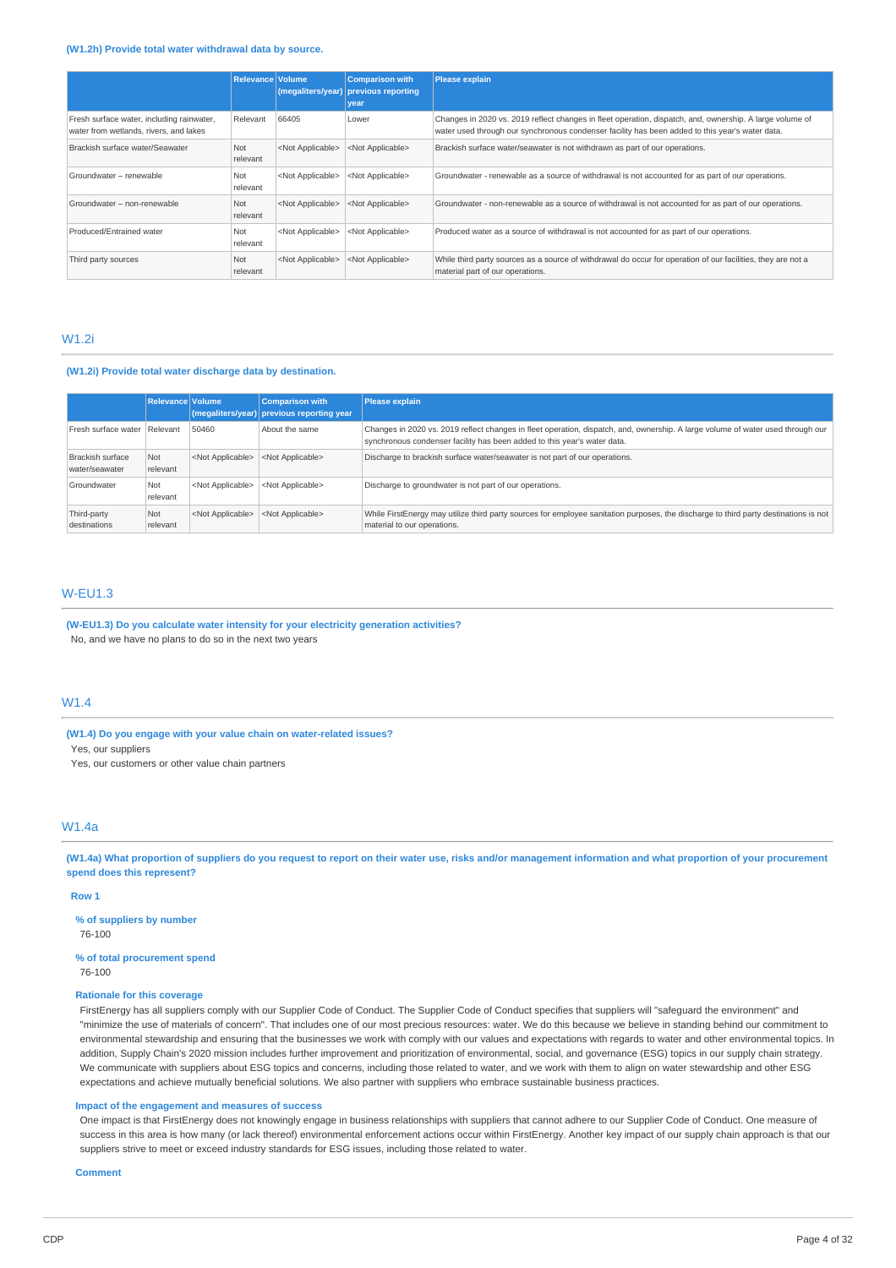#### **(W1.2h) Provide total water withdrawal data by source.**

|                                                                                     | <b>Relevance Volume</b> | (megaliters/year)         | <b>Comparison with</b><br>previous reporting<br>year | <b>Please explain</b>                                                                                                                                                                                       |
|-------------------------------------------------------------------------------------|-------------------------|---------------------------|------------------------------------------------------|-------------------------------------------------------------------------------------------------------------------------------------------------------------------------------------------------------------|
| Fresh surface water, including rainwater,<br>water from wetlands, rivers, and lakes | Relevant                | 66405                     | Lower                                                | Changes in 2020 vs. 2019 reflect changes in fleet operation, dispatch, and, ownership. A large volume of<br>water used through our synchronous condenser facility has been added to this year's water data. |
| Brackish surface water/Seawater                                                     | Not<br>relevant         | <not applicable=""></not> | <not applicable=""></not>                            | Brackish surface water/seawater is not withdrawn as part of our operations.                                                                                                                                 |
| Groundwater - renewable                                                             | Not<br>relevant         | <not applicable=""></not> | <not applicable=""></not>                            | Groundwater - renewable as a source of withdrawal is not accounted for as part of our operations.                                                                                                           |
| Groundwater - non-renewable                                                         | Not<br>relevant         | <not applicable=""></not> | <not applicable=""></not>                            | Groundwater - non-renewable as a source of withdrawal is not accounted for as part of our operations.                                                                                                       |
| Produced/Entrained water                                                            | Not<br>relevant         | <not applicable=""></not> | <not applicable=""></not>                            | Produced water as a source of withdrawal is not accounted for as part of our operations.                                                                                                                    |
| Third party sources                                                                 | Not<br>relevant         | <not applicable=""></not> | <not applicable=""></not>                            | While third party sources as a source of withdrawal do occur for operation of our facilities, they are not a<br>material part of our operations.                                                            |

## W1.2i

## **(W1.2i) Provide total water discharge data by destination.**

|                                    | Relevance Volume |                           | <b>Comparison with</b><br>(megaliters/year) previous reporting year | <b>Please explain</b>                                                                                                                                                                                       |
|------------------------------------|------------------|---------------------------|---------------------------------------------------------------------|-------------------------------------------------------------------------------------------------------------------------------------------------------------------------------------------------------------|
| Fresh surface water Relevant       |                  | 50460                     | About the same                                                      | Changes in 2020 vs. 2019 reflect changes in fleet operation, dispatch, and, ownership. A large volume of water used through our<br>synchronous condenser facility has been added to this year's water data. |
| Brackish surface<br>water/seawater | Not<br>relevant  | <not applicable=""></not> | <not applicable=""></not>                                           | Discharge to brackish surface water/seawater is not part of our operations.                                                                                                                                 |
| Groundwater                        | Not<br>relevant  | <not applicable=""></not> | <not applicable=""></not>                                           | Discharge to groundwater is not part of our operations.                                                                                                                                                     |
| Third-party<br>destinations        | Not<br>relevant  | <not applicable=""></not> | <not applicable=""></not>                                           | While FirstEnergy may utilize third party sources for employee sanitation purposes, the discharge to third party destinations is not<br>material to our operations.                                         |

## W-EU1.3

**(W-EU1.3) Do you calculate water intensity for your electricity generation activities?** No, and we have no plans to do so in the next two years

## W1.4

**(W1.4) Do you engage with your value chain on water-related issues?** Yes, our suppliers

Yes, our customers or other value chain partners

## W1.4a

(W1.4a) What proportion of suppliers do you request to report on their water use, risks and/or management information and what proportion of your procurement **spend does this represent?**

**Row 1**

**% of suppliers by number** 76-100

**% of total procurement spend** 76-100

## **Rationale for this coverage**

FirstEnergy has all suppliers comply with our Supplier Code of Conduct. The Supplier Code of Conduct specifies that suppliers will "safeguard the environment" and "minimize the use of materials of concern". That includes one of our most precious resources: water. We do this because we believe in standing behind our commitment to environmental stewardship and ensuring that the businesses we work with comply with our values and expectations with regards to water and other environmental topics. In addition, Supply Chain's 2020 mission includes further improvement and prioritization of environmental, social, and governance (ESG) topics in our supply chain strategy. We communicate with suppliers about ESG topics and concerns, including those related to water, and we work with them to align on water stewardship and other ESG expectations and achieve mutually beneficial solutions. We also partner with suppliers who embrace sustainable business practices.

#### **Impact of the engagement and measures of success**

One impact is that FirstEnergy does not knowingly engage in business relationships with suppliers that cannot adhere to our Supplier Code of Conduct. One measure of success in this area is how many (or lack thereof) environmental enforcement actions occur within FirstEnergy. Another key impact of our supply chain approach is that our suppliers strive to meet or exceed industry standards for ESG issues, including those related to water.

#### **Comment**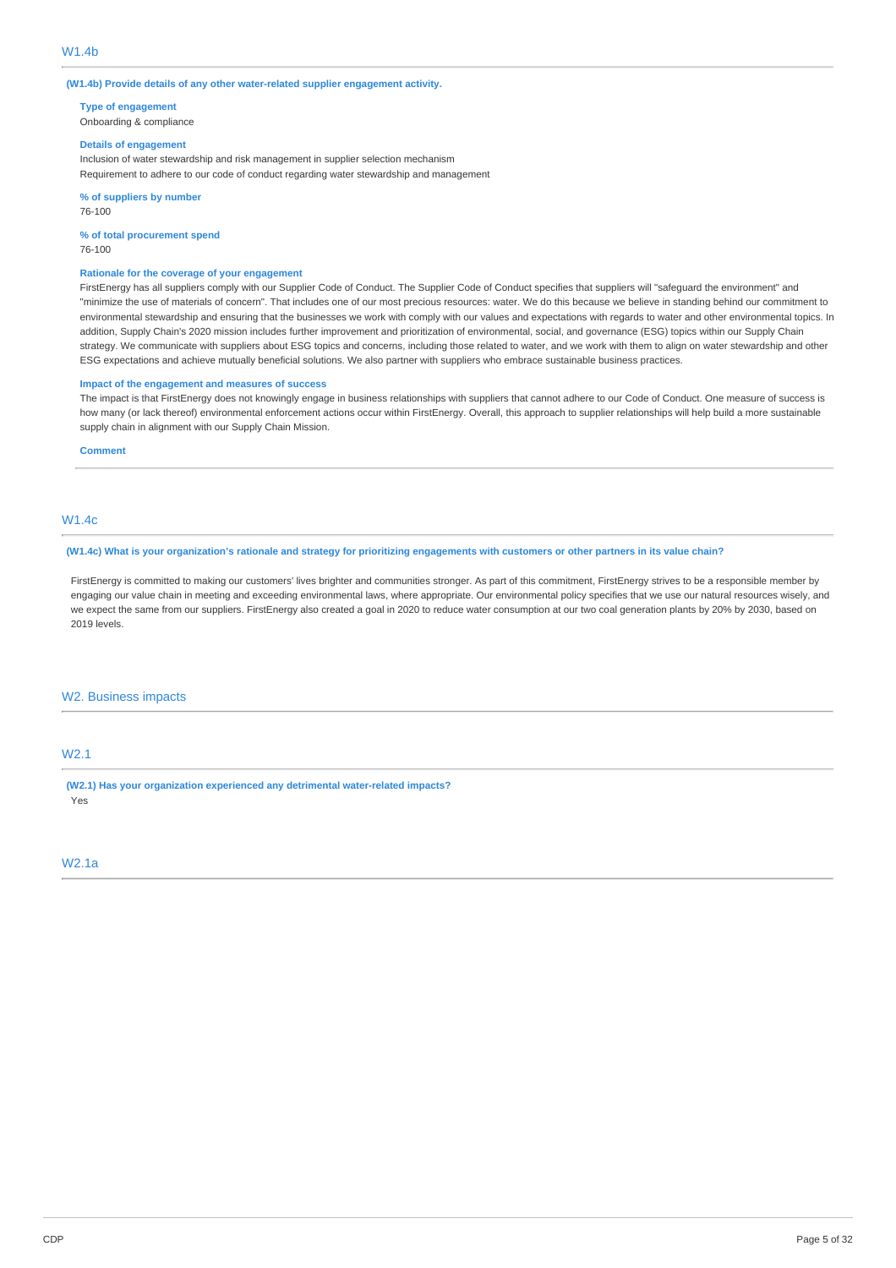**(W1.4b) Provide details of any other water-related supplier engagement activity.**

**Type of engagement**

Onboarding & compliance

## **Details of engagement**

Inclusion of water stewardship and risk management in supplier selection mechanism Requirement to adhere to our code of conduct regarding water stewardship and management

**% of suppliers by number** 76-100

**% of total procurement spend**

76-100

## **Rationale for the coverage of your engagement**

FirstEnergy has all suppliers comply with our Supplier Code of Conduct. The Supplier Code of Conduct specifies that suppliers will "safeguard the environment" and "minimize the use of materials of concern". That includes one of our most precious resources: water. We do this because we believe in standing behind our commitment to environmental stewardship and ensuring that the businesses we work with comply with our values and expectations with regards to water and other environmental topics. In addition, Supply Chain's 2020 mission includes further improvement and prioritization of environmental, social, and governance (ESG) topics within our Supply Chain strategy. We communicate with suppliers about ESG topics and concerns, including those related to water, and we work with them to align on water stewardship and other ESG expectations and achieve mutually beneficial solutions. We also partner with suppliers who embrace sustainable business practices.

#### **Impact of the engagement and measures of success**

The impact is that FirstEnergy does not knowingly engage in business relationships with suppliers that cannot adhere to our Code of Conduct. One measure of success is how many (or lack thereof) environmental enforcement actions occur within FirstEnergy. Overall, this approach to supplier relationships will help build a more sustainable supply chain in alignment with our Supply Chain Mission.

### **Comment**

## W1.4c

(W1.4c) What is your organization's rationale and strategy for prioritizing engagements with customers or other partners in its value chain?

FirstEnergy is committed to making our customers' lives brighter and communities stronger. As part of this commitment, FirstEnergy strives to be a responsible member by engaging our value chain in meeting and exceeding environmental laws, where appropriate. Our environmental policy specifies that we use our natural resources wisely, and we expect the same from our suppliers. FirstEnergy also created a goal in 2020 to reduce water consumption at our two coal generation plants by 20% by 2030, based on 2019 levels.

## W2. Business impacts

## W2.1

**(W2.1) Has your organization experienced any detrimental water-related impacts?** Yes

## W2.1a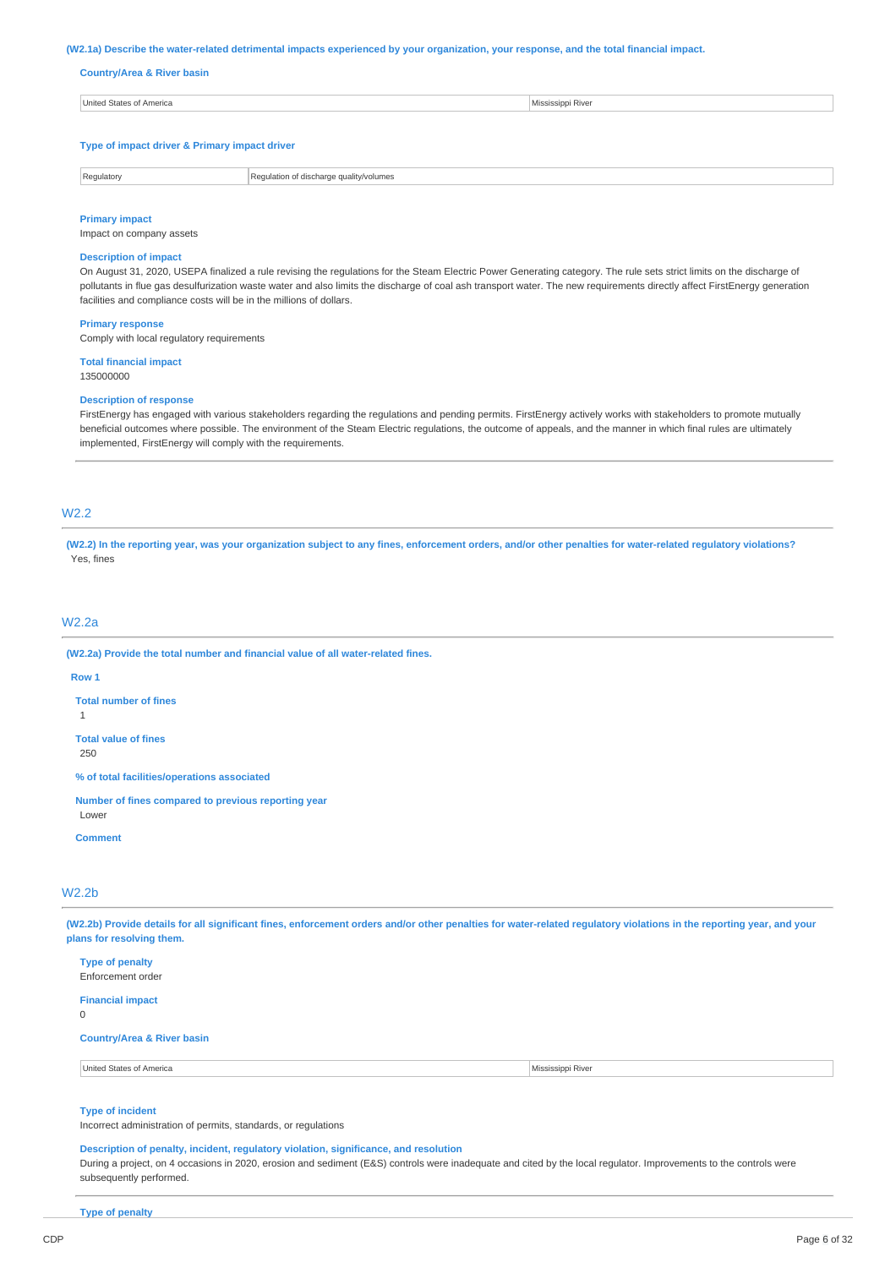#### (W2.1a) Describe the water-related detrimental impacts experienced by your organization, your response, and the total financial impact.

### **Country/Area & River basin**

| United States of America | Mississippi River |
|--------------------------|-------------------|
|                          |                   |
|                          |                   |

**Type of impact driver & Primary impact driver**

| Regulatory | ality/volumes<br>qua<br>mmmm<br>.<br> |
|------------|---------------------------------------|

#### **Primary impact**

Impact on company assets

### **Description of impact**

On August 31, 2020, USEPA finalized a rule revising the regulations for the Steam Electric Power Generating category. The rule sets strict limits on the discharge of pollutants in flue gas desulfurization waste water and also limits the discharge of coal ash transport water. The new requirements directly affect FirstEnergy generation facilities and compliance costs will be in the millions of dollars.

#### **Primary response**

Comply with local regulatory requirements

**Total financial impact** 135000000

#### **Description of response**

FirstEnergy has engaged with various stakeholders regarding the regulations and pending permits. FirstEnergy actively works with stakeholders to promote mutually beneficial outcomes where possible. The environment of the Steam Electric regulations, the outcome of appeals, and the manner in which final rules are ultimately implemented, FirstEnergy will comply with the requirements.

## W2.2

(W2.2) In the reporting year, was your organization subject to any fines, enforcement orders, and/or other penalties for water-related regulatory violations? Yes, fines

## W2.2a

**(W2.2a) Provide the total number and financial value of all water-related fines.**

#### **Row 1**

**Total number of fines**

1

**Total value of fines**

250

**% of total facilities/operations associated**

**Number of fines compared to previous reporting year**

Lower **Comment**

## W2.2b

(W2.2b) Provide details for all significant fines, enforcement orders and/or other penalties for water-related regulatory violations in the reporting year, and your **plans for resolving them.**

| United States of America                    | Mississippi River |
|---------------------------------------------|-------------------|
| <b>Country/Area &amp; River basin</b>       |                   |
| <b>Financial impact</b><br>$\overline{0}$   |                   |
| <b>Type of penalty</b><br>Enforcement order |                   |

## **Type of incident**

Incorrect administration of permits, standards, or regulations

### **Description of penalty, incident, regulatory violation, significance, and resolution**

During a project, on 4 occasions in 2020, erosion and sediment (E&S) controls were inadequate and cited by the local regulator. Improvements to the controls were subsequently performed.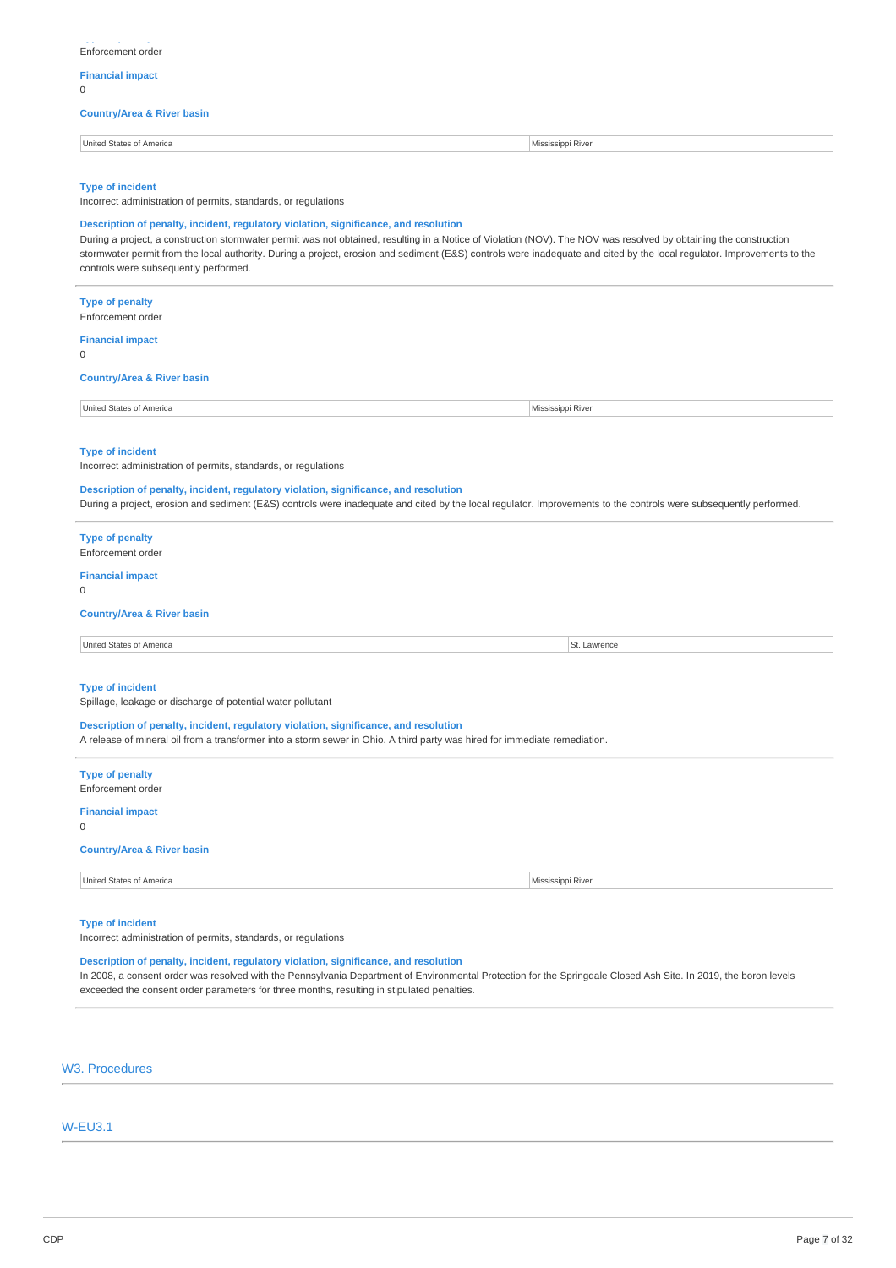## **Financial impact**

 $\Omega$ 

## **Country/Area & River basin**

| . . | United States of America<br>Mississippi River |  |
|-----|-----------------------------------------------|--|
|-----|-----------------------------------------------|--|

#### **Type of incident**

Incorrect administration of permits, standards, or regulations

### **Description of penalty, incident, regulatory violation, significance, and resolution**

During a project, a construction stormwater permit was not obtained, resulting in a Notice of Violation (NOV). The NOV was resolved by obtaining the construction stormwater permit from the local authority. During a project, erosion and sediment (E&S) controls were inadequate and cited by the local regulator. Improvements to the controls were subsequently performed.

# **Type of penalty** Enforcement order **Financial impact**  $\Omega$ **Country/Area & River basin** United States of America Mississippi River **Type of incident** Incorrect administration of permits, standards, or regulations **Description of penalty, incident, regulatory violation, significance, and resolution** During a project, erosion and sediment (E&S) controls were inadequate and cited by the local regulator. Improvements to the controls were subsequently performed. **Type of penalty** Enforcement order **Financial impact**  $\Omega$ **Country/Area & River basin** United States of America St. Lawrence St. Lawrence St. Lawrence St. Lawrence St. Lawrence **Type of incident** Spillage, leakage or discharge of potential water pollutant **Description of penalty, incident, regulatory violation, significance, and resolution** A release of mineral oil from a transformer into a storm sewer in Ohio. A third party was hired for immediate remediation. **Type of penalty** Enforcement order **Financial impact**  $\Omega$ **Country/Area & River basin** United States of America Mississippi River

#### **Type of incident**

Incorrect administration of permits, standards, or regulations

## **Description of penalty, incident, regulatory violation, significance, and resolution**

In 2008, a consent order was resolved with the Pennsylvania Department of Environmental Protection for the Springdale Closed Ash Site. In 2019, the boron levels exceeded the consent order parameters for three months, resulting in stipulated penalties.

## W3. Procedures

## W-EU3.1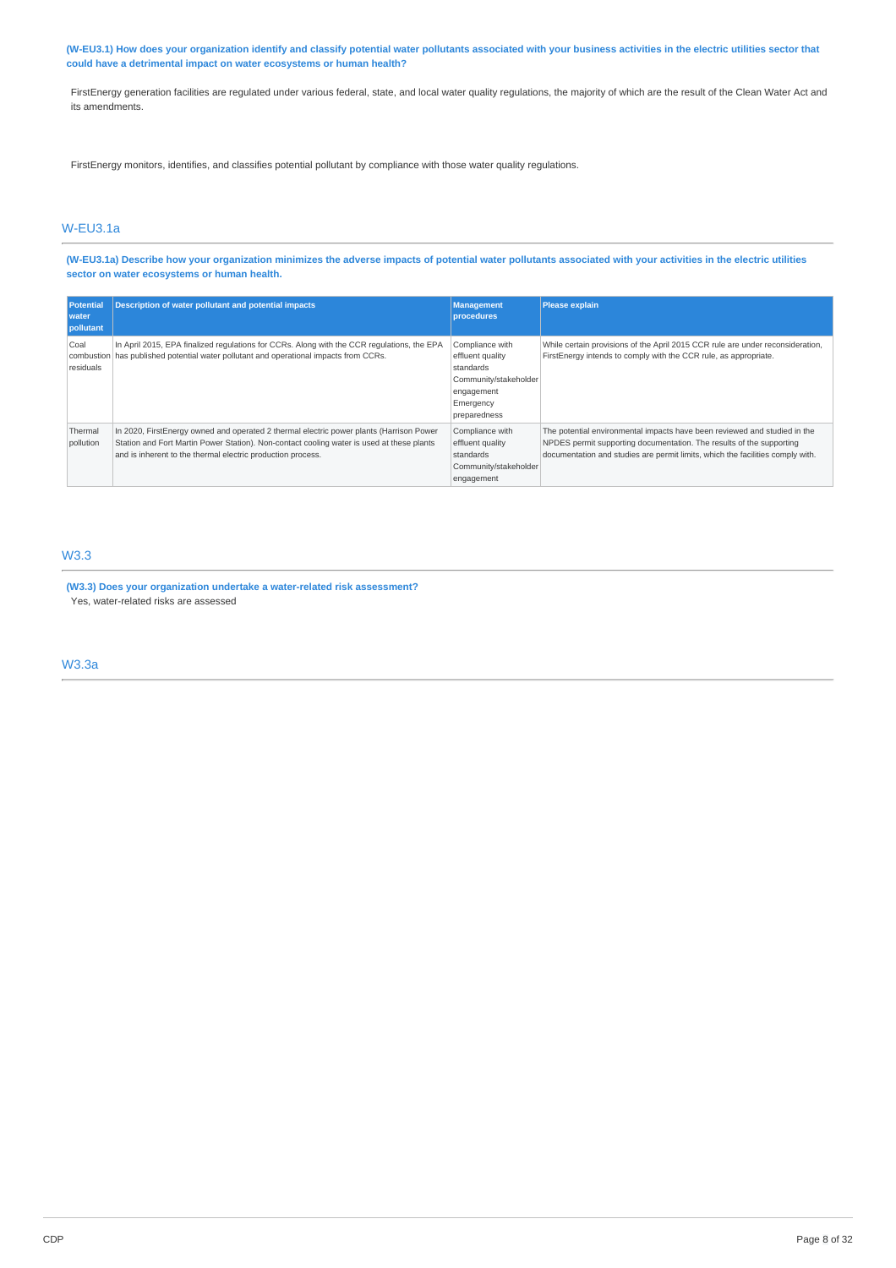(W-EU3.1) How does your organization identify and classify potential water pollutants associated with your business activities in the electric utilities sector that **could have a detrimental impact on water ecosystems or human health?**

FirstEnergy generation facilities are regulated under various federal, state, and local water quality regulations, the majority of which are the result of the Clean Water Act and its amendments.

FirstEnergy monitors, identifies, and classifies potential pollutant by compliance with those water quality regulations.

## W-EU3.1a

(W-EU3.1a) Describe how your organization minimizes the adverse impacts of potential water pollutants associated with your activities in the electric utilities **sector on water ecosystems or human health.**

| <b>Potential</b><br>water<br>pollutant | <b>Description of water pollutant and potential impacts</b>                                                                                                                                                                                         | <b>Management</b><br>procedures                                                                                      | <b>Please explain</b>                                                                                                                                                                                                               |
|----------------------------------------|-----------------------------------------------------------------------------------------------------------------------------------------------------------------------------------------------------------------------------------------------------|----------------------------------------------------------------------------------------------------------------------|-------------------------------------------------------------------------------------------------------------------------------------------------------------------------------------------------------------------------------------|
| Coal<br>residuals                      | In April 2015, EPA finalized regulations for CCRs. Along with the CCR regulations, the EPA<br>combustion has published potential water pollutant and operational impacts from CCRs.                                                                 | Compliance with<br>effluent quality<br>standards<br>Community/stakeholder<br>engagement<br>Emergency<br>preparedness | While certain provisions of the April 2015 CCR rule are under reconsideration,<br>FirstEnergy intends to comply with the CCR rule, as appropriate.                                                                                  |
| Thermal<br>pollution                   | In 2020, FirstEnergy owned and operated 2 thermal electric power plants (Harrison Power<br>Station and Fort Martin Power Station). Non-contact cooling water is used at these plants<br>and is inherent to the thermal electric production process. | Compliance with<br>effluent quality<br>standards<br>Community/stakeholder<br>engagement                              | The potential environmental impacts have been reviewed and studied in the<br>NPDES permit supporting documentation. The results of the supporting<br>documentation and studies are permit limits, which the facilities comply with. |

## W3.3

**(W3.3) Does your organization undertake a water-related risk assessment?** Yes, water-related risks are assessed

W3.3a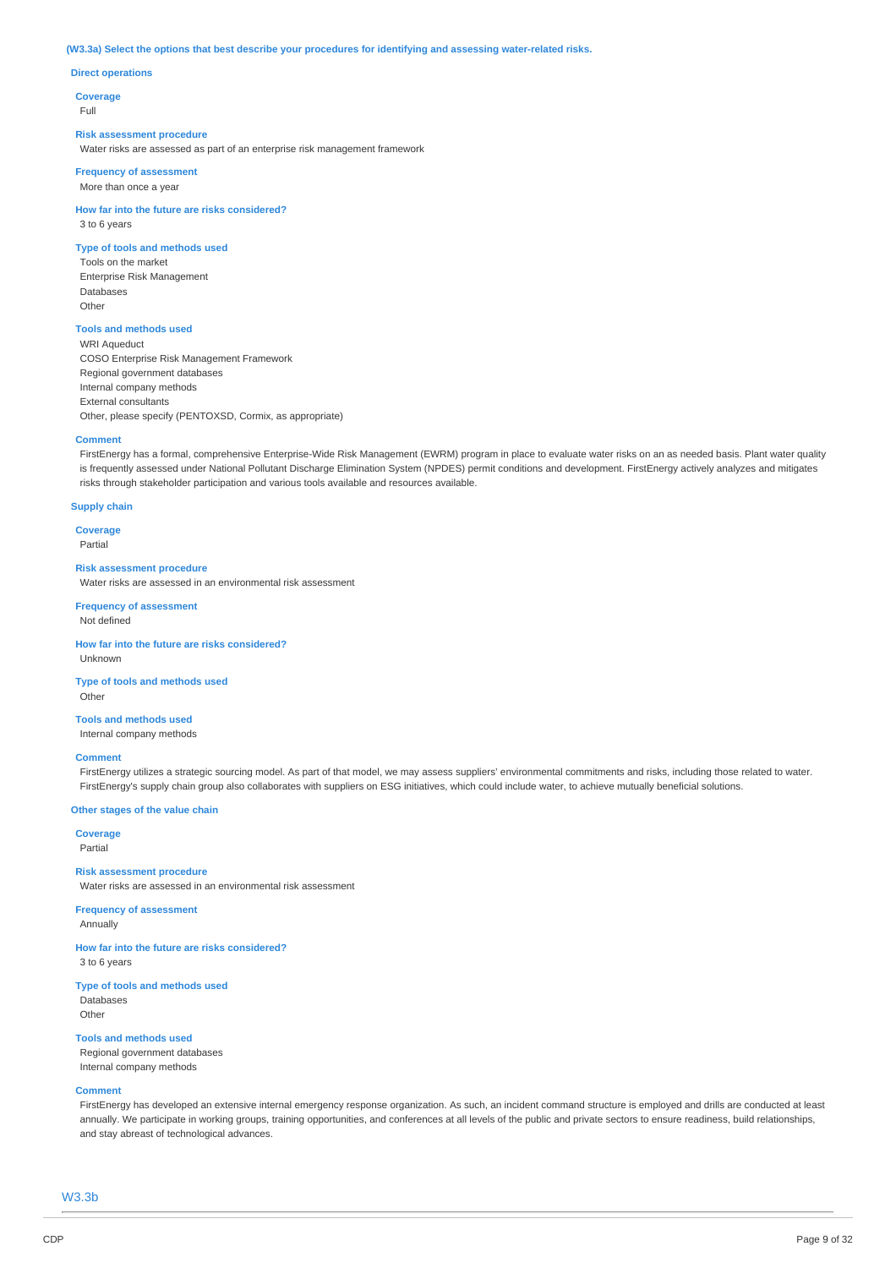#### **(W3.3a) Select the options that best describe your procedures for identifying and assessing water-related risks.**

#### **Direct operations**

**Coverage**

Full

#### **Risk assessment procedure**

Water risks are assessed as part of an enterprise risk management framework

**Frequency of assessment** More than once a year

**How far into the future are risks considered?** 3 to 6 years

#### **Type of tools and methods used**

Tools on the market Enterprise Risk Management Databases **Other** 

## **Tools and methods used**

WRI Aqueduct COSO Enterprise Risk Management Framework Regional government databases Internal company methods External consultants Other, please specify (PENTOXSD, Cormix, as appropriate)

#### **Comment**

FirstEnergy has a formal, comprehensive Enterprise-Wide Risk Management (EWRM) program in place to evaluate water risks on an as needed basis. Plant water quality is frequently assessed under National Pollutant Discharge Elimination System (NPDES) permit conditions and development. FirstEnergy actively analyzes and mitigates risks through stakeholder participation and various tools available and resources available.

### **Supply chain**

**Coverage** Partial

#### **Risk assessment procedure**

Water risks are assessed in an environmental risk assessment

**Frequency of assessment** Not defined

**How far into the future are risks considered?** Unknown

**Type of tools and methods used** Other

**Tools and methods used** Internal company methods

#### **Comment**

FirstEnergy utilizes a strategic sourcing model. As part of that model, we may assess suppliers' environmental commitments and risks, including those related to water. FirstEnergy's supply chain group also collaborates with suppliers on ESG initiatives, which could include water, to achieve mutually beneficial solutions

#### **Other stages of the value chain**

**Coverage** Partial

### **Risk assessment procedure**

Water risks are assessed in an environmental risk assessment

### **Frequency of assessment**

Annually

**How far into the future are risks considered?** 3 to 6 years

## **Type of tools and methods used**

Databases Othe

### **Tools and methods used**

Regional government databases Internal company methods

## **Comment**

FirstEnergy has developed an extensive internal emergency response organization. As such, an incident command structure is employed and drills are conducted at least annually. We participate in working groups, training opportunities, and conferences at all levels of the public and private sectors to ensure readiness, build relationships, and stay abreast of technological advances.

W3.3b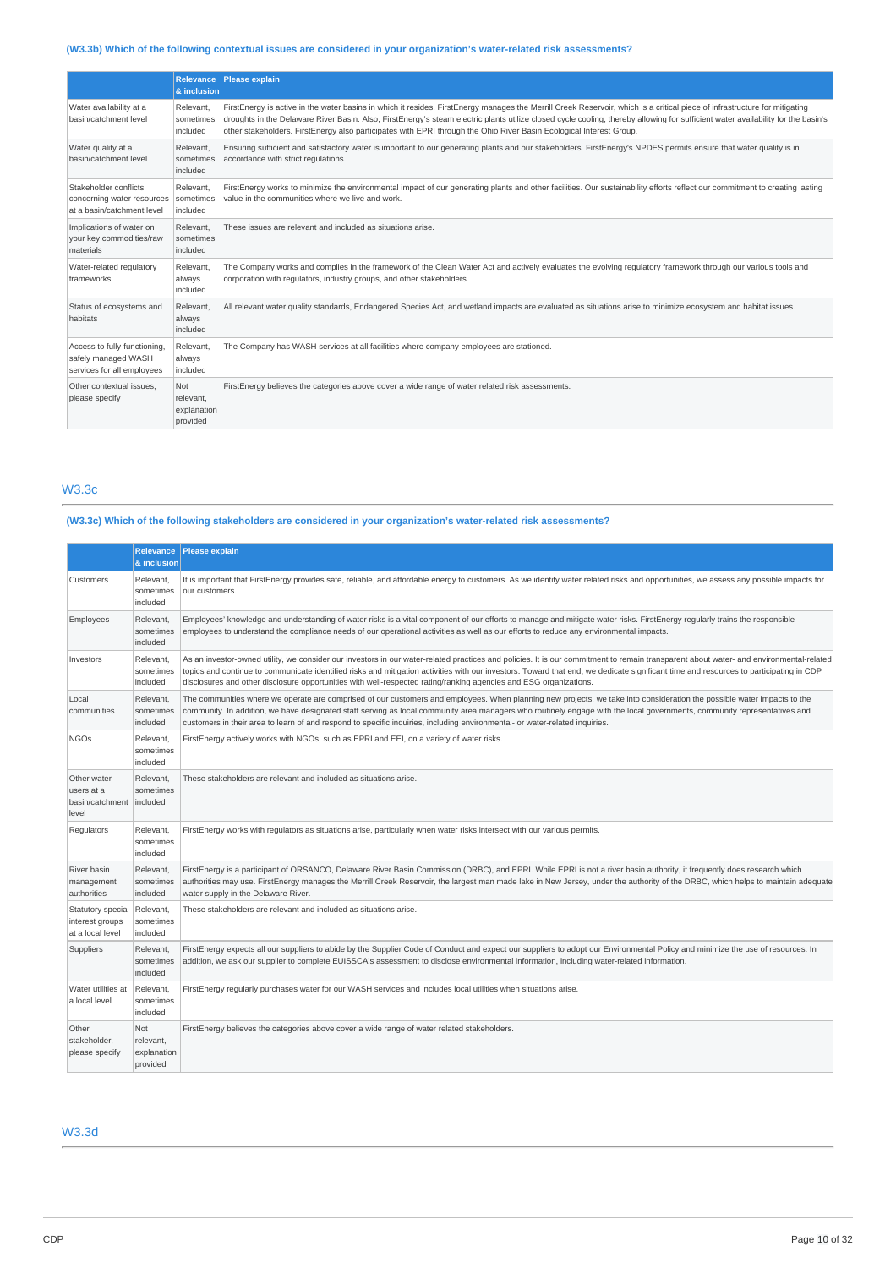## **(W3.3b) Which of the following contextual issues are considered in your organization's water-related risk assessments?**

|                                                                                   | <b>Relevance</b><br>& inclusion                    | Please explain                                                                                                                                                                                                                                                                                                                                                                                                                                                                        |
|-----------------------------------------------------------------------------------|----------------------------------------------------|---------------------------------------------------------------------------------------------------------------------------------------------------------------------------------------------------------------------------------------------------------------------------------------------------------------------------------------------------------------------------------------------------------------------------------------------------------------------------------------|
| Water availability at a<br>basin/catchment level                                  | Relevant.<br>sometimes<br>included                 | FirstEnergy is active in the water basins in which it resides. FirstEnergy manages the Merrill Creek Reservoir, which is a critical piece of infrastructure for mitigating<br>droughts in the Delaware River Basin. Also, FirstEnergy's steam electric plants utilize closed cycle cooling, thereby allowing for sufficient water availability for the basin's<br>other stakeholders. FirstEnergy also participates with EPRI through the Ohio River Basin Ecological Interest Group. |
| Water quality at a<br>basin/catchment level                                       | Relevant,<br>sometimes<br>included                 | Ensuring sufficient and satisfactory water is important to our generating plants and our stakeholders. FirstEnergy's NPDES permits ensure that water quality is in<br>accordance with strict regulations.                                                                                                                                                                                                                                                                             |
| Stakeholder conflicts<br>concerning water resources<br>at a basin/catchment level | Relevant.<br>sometimes<br>included                 | FirstEnergy works to minimize the environmental impact of our generating plants and other facilities. Our sustainability efforts reflect our commitment to creating lasting<br>value in the communities where we live and work.                                                                                                                                                                                                                                                       |
| Implications of water on<br>your key commodities/raw<br>materials                 | Relevant.<br>sometimes<br>included                 | These issues are relevant and included as situations arise.                                                                                                                                                                                                                                                                                                                                                                                                                           |
| Water-related regulatory<br>frameworks                                            | Relevant,<br>always<br>included                    | The Company works and complies in the framework of the Clean Water Act and actively evaluates the evolving regulatory framework through our various tools and<br>corporation with regulators, industry groups, and other stakeholders.                                                                                                                                                                                                                                                |
| Status of ecosystems and<br>habitats                                              | Relevant.<br>always<br>included                    | All relevant water quality standards, Endangered Species Act, and wetland impacts are evaluated as situations arise to minimize ecosystem and habitat issues.                                                                                                                                                                                                                                                                                                                         |
| Access to fully-functioning,<br>safely managed WASH<br>services for all employees | Relevant.<br>always<br>included                    | The Company has WASH services at all facilities where company employees are stationed.                                                                                                                                                                                                                                                                                                                                                                                                |
| Other contextual issues.<br>please specify                                        | <b>Not</b><br>relevant.<br>explanation<br>provided | FirstEnergy believes the categories above cover a wide range of water related risk assessments.                                                                                                                                                                                                                                                                                                                                                                                       |

## W3.3c

## **(W3.3c) Which of the following stakeholders are considered in your organization's water-related risk assessments?**

|                                                          | <b>Relevance</b><br>& inclusion             | <b>Please explain</b>                                                                                                                                                                                                                                                                                                                                                                                                                                                                                |
|----------------------------------------------------------|---------------------------------------------|------------------------------------------------------------------------------------------------------------------------------------------------------------------------------------------------------------------------------------------------------------------------------------------------------------------------------------------------------------------------------------------------------------------------------------------------------------------------------------------------------|
| Customers                                                | Relevant,<br>sometimes<br>included          | It is important that FirstEnergy provides safe, reliable, and affordable energy to customers. As we identify water related risks and opportunities, we assess any possible impacts for<br>our customers.                                                                                                                                                                                                                                                                                             |
| Employees                                                | Relevant,<br>sometimes<br>included          | Employees' knowledge and understanding of water risks is a vital component of our efforts to manage and mitigate water risks. FirstEnergy regularly trains the responsible<br>employees to understand the compliance needs of our operational activities as well as our efforts to reduce any environmental impacts.                                                                                                                                                                                 |
| Investors                                                | Relevant,<br>sometimes<br>included          | As an investor-owned utility, we consider our investors in our water-related practices and policies. It is our commitment to remain transparent about water- and environmental-related<br>topics and continue to communicate identified risks and mitigation activities with our investors. Toward that end, we dedicate significant time and resources to participating in CDP<br>disclosures and other disclosure opportunities with well-respected rating/ranking agencies and ESG organizations. |
| Local<br>communities                                     | Relevant.<br>sometimes<br>included          | The communities where we operate are comprised of our customers and employees. When planning new projects, we take into consideration the possible water impacts to the<br>community. In addition, we have designated staff serving as local community area managers who routinely engage with the local governments, community representatives and<br>customers in their area to learn of and respond to specific inquiries, including environmental- or water-related inquiries.                   |
| <b>NGOs</b>                                              | Relevant.<br>sometimes<br>included          | FirstEnergy actively works with NGOs, such as EPRI and EEI, on a variety of water risks.                                                                                                                                                                                                                                                                                                                                                                                                             |
| Other water<br>users at a<br>basin/catchment<br>level    | Relevant,<br>sometimes<br>included          | These stakeholders are relevant and included as situations arise.                                                                                                                                                                                                                                                                                                                                                                                                                                    |
| Regulators                                               | Relevant,<br>sometimes<br>included          | FirstEnergy works with regulators as situations arise, particularly when water risks intersect with our various permits.                                                                                                                                                                                                                                                                                                                                                                             |
| River basin<br>management<br>authorities                 | Relevant,<br>sometimes<br>included          | FirstEnergy is a participant of ORSANCO, Delaware River Basin Commission (DRBC), and EPRI. While EPRI is not a river basin authority, it frequently does research which<br>authorities may use. FirstEnergy manages the Merrill Creek Reservoir, the largest man made lake in New Jersey, under the authority of the DRBC, which helps to maintain adequate<br>water supply in the Delaware River.                                                                                                   |
| Statutory special<br>interest groups<br>at a local level | Relevant,<br>sometimes<br>included          | These stakeholders are relevant and included as situations arise.                                                                                                                                                                                                                                                                                                                                                                                                                                    |
| Suppliers                                                | Relevant,<br>sometimes<br>included          | FirstEnergy expects all our suppliers to abide by the Supplier Code of Conduct and expect our suppliers to adopt our Environmental Policy and minimize the use of resources. In<br>addition, we ask our supplier to complete EUISSCA's assessment to disclose environmental information, including water-related information.                                                                                                                                                                        |
| Water utilities at<br>a local level                      | Relevant.<br>sometimes<br>included          | FirstEnergy regularly purchases water for our WASH services and includes local utilities when situations arise.                                                                                                                                                                                                                                                                                                                                                                                      |
| Other<br>stakeholder,<br>please specify                  | Not<br>relevant,<br>explanation<br>provided | FirstEnergy believes the categories above cover a wide range of water related stakeholders.                                                                                                                                                                                                                                                                                                                                                                                                          |

## W3.3d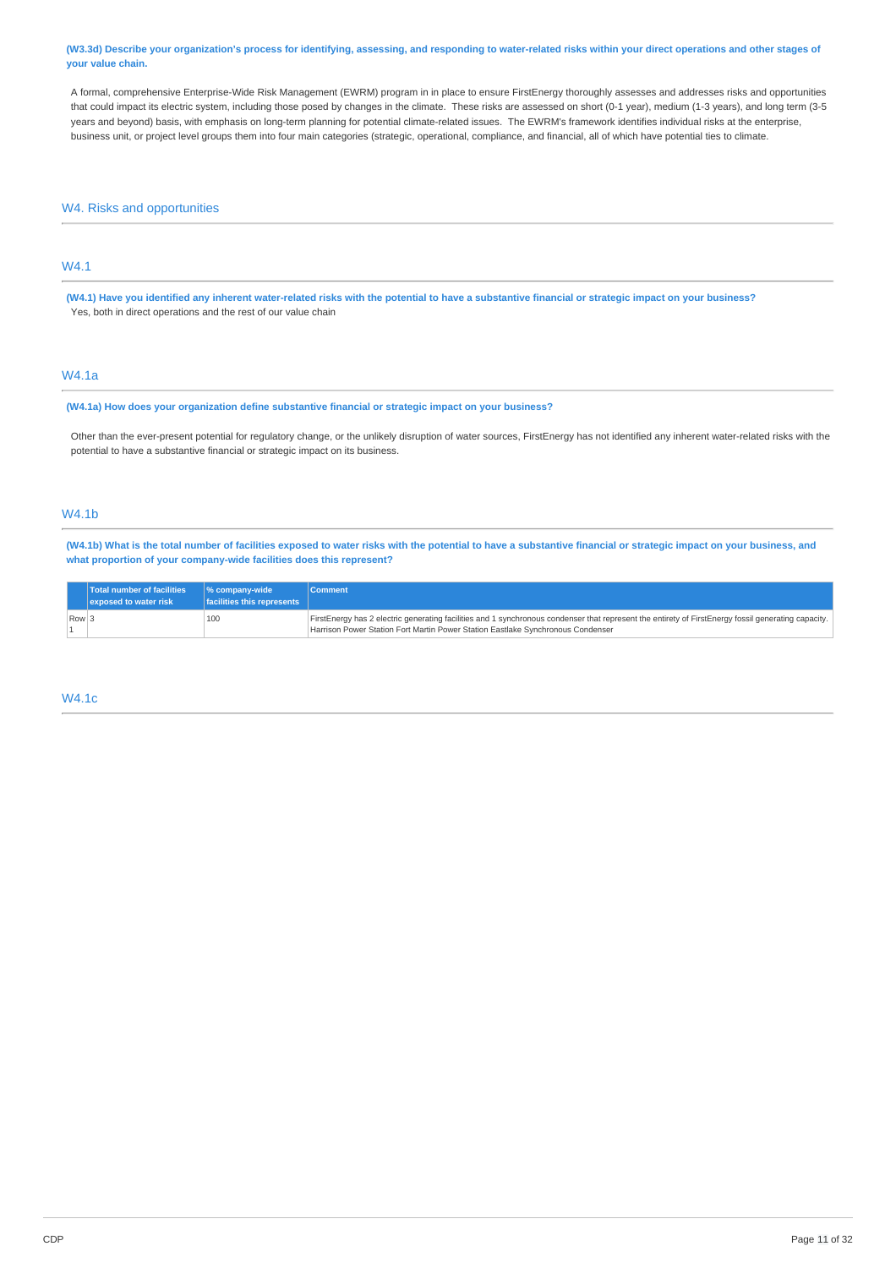#### (W3.3d) Describe your organization's process for identifying, assessing, and responding to water-related risks within your direct operations and other stages of **your value chain.**

A formal, comprehensive Enterprise-Wide Risk Management (EWRM) program in in place to ensure FirstEnergy thoroughly assesses and addresses risks and opportunities that could impact its electric system, including those posed by changes in the climate. These risks are assessed on short (0-1 year), medium (1-3 years), and long term (3-5 years and beyond) basis, with emphasis on long-term planning for potential climate-related issues. The EWRM's framework identifies individual risks at the enterprise, business unit, or project level groups them into four main categories (strategic, operational, compliance, and financial, all of which have potential ties to climate.

W4. Risks and opportunities

## W4.1

(W4.1) Have you identified any inherent water-related risks with the potential to have a substantive financial or strategic impact on your business? Yes, both in direct operations and the rest of our value chain

## W4.1a

**(W4.1a) How does your organization define substantive financial or strategic impact on your business?**

Other than the ever-present potential for regulatory change, or the unlikely disruption of water sources, FirstEnergy has not identified any inherent water-related risks with the potential to have a substantive financial or strategic impact on its business.

## W4.1b

(W4.1b) What is the total number of facilities exposed to water risks with the potential to have a substantive financial or strategic impact on your business, and **what proportion of your company-wide facilities does this represent?**

|       | <b>Total number of facilities</b><br>exposed to water risk | $\frac{1}{2}$ company-wide<br>facilities this represents | <b>Comment</b>                                                                                                                                                                                                                         |
|-------|------------------------------------------------------------|----------------------------------------------------------|----------------------------------------------------------------------------------------------------------------------------------------------------------------------------------------------------------------------------------------|
| Row 3 |                                                            | 100                                                      | FirstEnergy has 2 electric generating facilities and 1 synchronous condenser that represent the entirety of FirstEnergy fossil generating capacity.<br>Harrison Power Station Fort Martin Power Station Eastlake Synchronous Condenser |

## W4.1c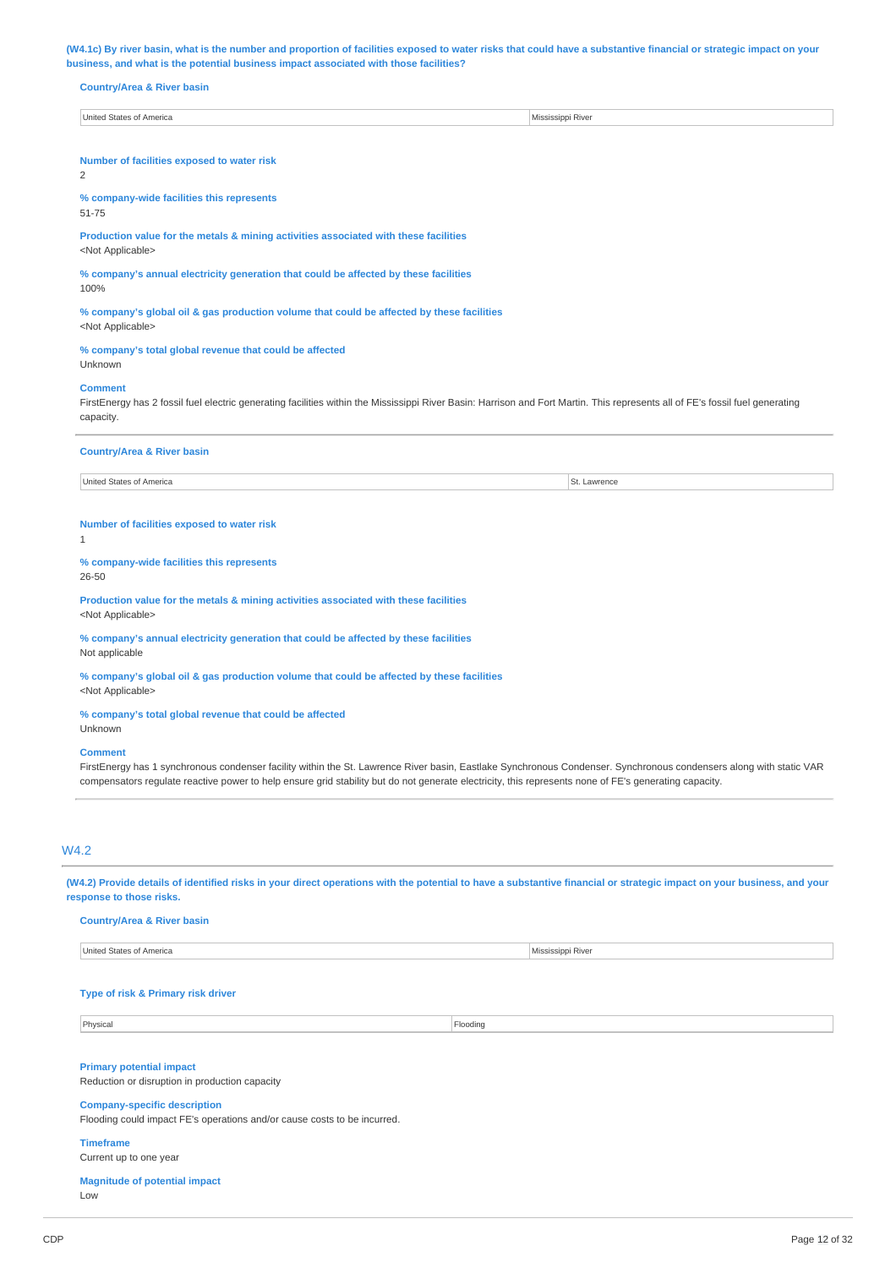(W4.1c) By river basin, what is the number and proportion of facilities exposed to water risks that could have a substantive financial or strategic impact on your **business, and what is the potential business impact associated with those facilities?**

#### **Country/Area & River basin**

United States of America Mississippi River

**Number of facilities exposed to water risk**

2

**% company-wide facilities this represents**

51-75

**Production value for the metals & mining activities associated with these facilities** <Not Applicable>

**% company's annual electricity generation that could be affected by these facilities** 100%

**% company's global oil & gas production volume that could be affected by these facilities** <Not Applicable>

## **% company's total global revenue that could be affected**

Unknown

#### **Comment**

FirstEnergy has 2 fossil fuel electric generating facilities within the Mississippi River Basin: Harrison and Fort Martin. This represents all of FE's fossil fuel generating capacity.

### **Country/Area & River basin**

United States of America St. Lawrence

#### **Number of facilities exposed to water risk**

1

#### **% company-wide facilities this represents** 26-50

**Production value for the metals & mining activities associated with these facilities** <Not Applicable>

**% company's annual electricity generation that could be affected by these facilities** Not applicable

**% company's global oil & gas production volume that could be affected by these facilities** <Not Applicable>

**% company's total global revenue that could be affected**

## Unknown

## **Comment**

FirstEnergy has 1 synchronous condenser facility within the St. Lawrence River basin, Eastlake Synchronous Condenser. Synchronous condensers along with static VAR compensators regulate reactive power to help ensure grid stability but do not generate electricity, this represents none of FE's generating capacity.

## W4.2

(W4.2) Provide details of identified risks in your direct operations with the potential to have a substantive financial or strategic impact on your business, and your **response to those risks.**

#### **Country/Area & River basin**

United States of America Mississippi River

#### **Type of risk & Primary risk driver**

Physical Flooding

## **Primary potential impact**

Reduction or disruption in production capacity

## **Company-specific description**

Flooding could impact FE's operations and/or cause costs to be incurred.

### **Timeframe**

Current up to one year

### **Magnitude of potential impact** Low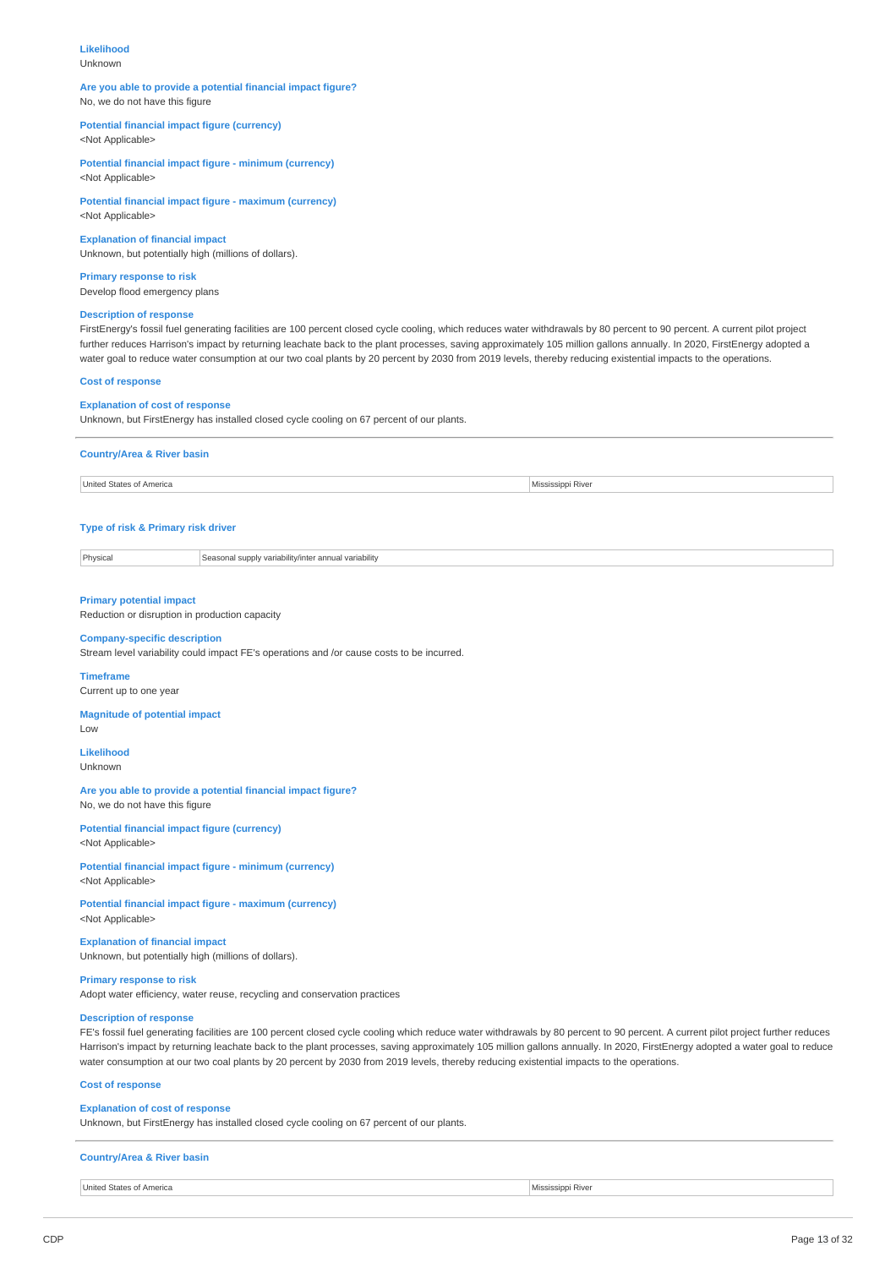## **Likelihood**

Unknown

### **Are you able to provide a potential financial impact figure?** No, we do not have this figure

## **Potential financial impact figure (currency)**

<Not Applicable>

**Potential financial impact figure - minimum (currency)** <Not Applicable>

**Potential financial impact figure - maximum (currency)** <Not Applicable>

**Explanation of financial impact** Unknown, but potentially high (millions of dollars).

**Primary response to risk** Develop flood emergency plans

#### **Description of response**

FirstEnergy's fossil fuel generating facilities are 100 percent closed cycle cooling, which reduces water withdrawals by 80 percent to 90 percent. A current pilot project further reduces Harrison's impact by returning leachate back to the plant processes, saving approximately 105 million gallons annually. In 2020, FirstEnergy adopted a water goal to reduce water consumption at our two coal plants by 20 percent by 2030 from 2019 levels, thereby reducing existential impacts to the operations.

#### **Cost of response**

## **Explanation of cost of response**

Unknown, but FirstEnergy has installed closed cycle cooling on 67 percent of our plants.

#### **Country/Area & River basin**

United States of America Mississippi River

## **Type of risk & Primary risk driver**

Physical Seasonal supply variability/inter annual variability

### **Primary potential impact**

Reduction or disruption in production capacity

## **Company-specific description**

Stream level variability could impact FE's operations and /or cause costs to be incurred.

#### **Timeframe**

Current up to one year

### **Magnitude of potential impact**

Low

## **Likelihood**

Unknown

**Are you able to provide a potential financial impact figure?** No, we do not have this figure

**Potential financial impact figure (currency)**

<Not Applicable>

**Potential financial impact figure - minimum (currency)** <Not Applicable>

**Potential financial impact figure - maximum (currency)** <Not Applicable>

## **Explanation of financial impact**

Unknown, but potentially high (millions of dollars).

## **Primary response to risk**

Adopt water efficiency, water reuse, recycling and conservation practices

## **Description of response**

FE's fossil fuel generating facilities are 100 percent closed cycle cooling which reduce water withdrawals by 80 percent to 90 percent. A current pilot project further reduces Harrison's impact by returning leachate back to the plant processes, saving approximately 105 million gallons annually. In 2020, FirstEnergy adopted a water goal to reduce water consumption at our two coal plants by 20 percent by 2030 from 2019 levels, thereby reducing existential impacts to the operations.

## **Cost of response**

## **Explanation of cost of response**

Unknown, but FirstEnergy has installed closed cycle cooling on 67 percent of our plants.

### **Country/Area & River basin**

United States of America Mississippi River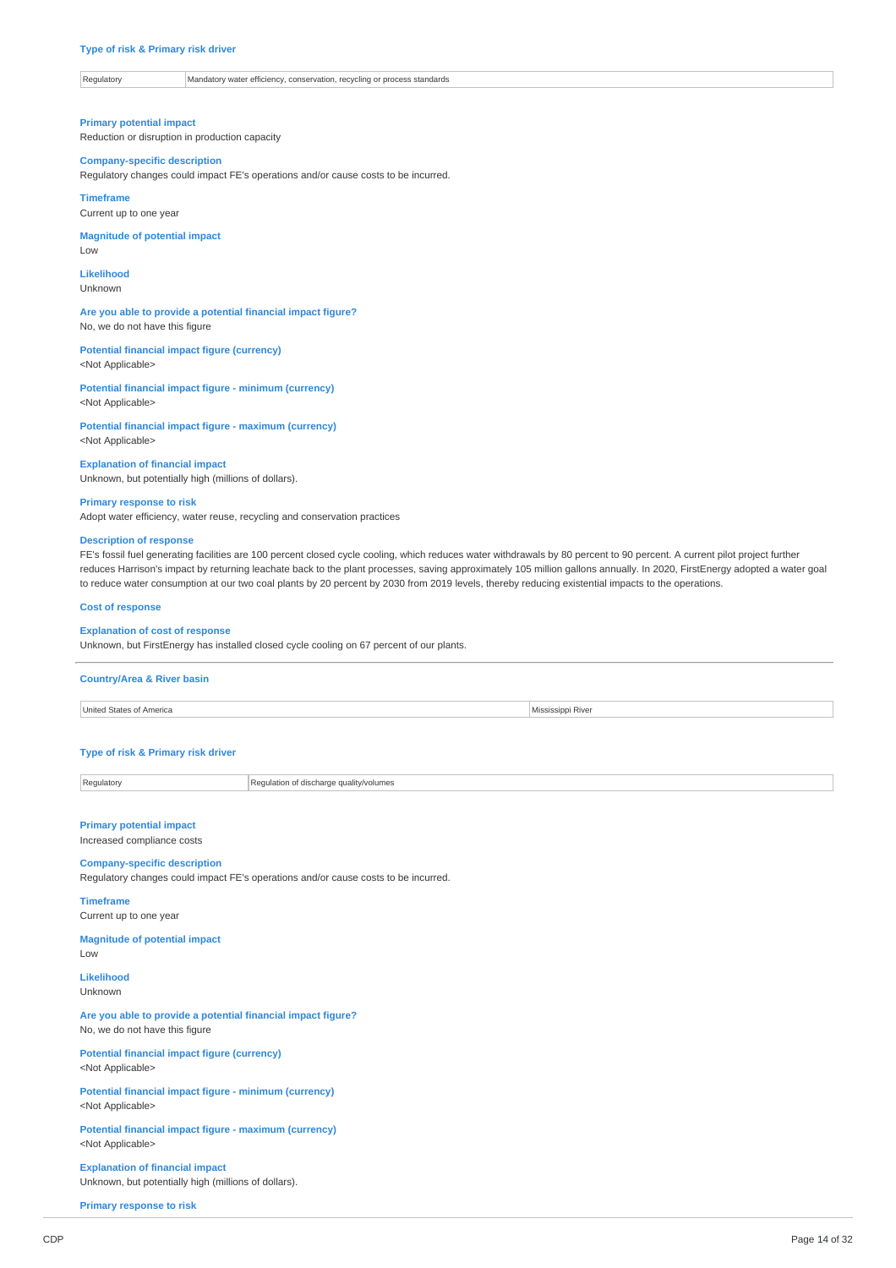### Regulatory Mandatory water efficiency, conservation, recycling or process standards

**Primary potential impact**

Reduction or disruption in production capacity

#### **Company-specific description**

Regulatory changes could impact FE's operations and/or cause costs to be incurred.

**Timeframe**

Current up to one year

**Magnitude of potential impact** Low

**Likelihood**

Unknown

**Are you able to provide a potential financial impact figure?** No, we do not have this figure

**Potential financial impact figure (currency)** <Not Applicable>

**Potential financial impact figure - minimum (currency)** <Not Applicable>

**Potential financial impact figure - maximum (currency)** <Not Applicable>

**Explanation of financial impact** Unknown, but potentially high (millions of dollars).

### **Primary response to risk**

Adopt water efficiency, water reuse, recycling and conservation practices

#### **Description of response**

FE's fossil fuel generating facilities are 100 percent closed cycle cooling, which reduces water withdrawals by 80 percent to 90 percent. A current pilot project further reduces Harrison's impact by returning leachate back to the plant processes, saving approximately 105 million gallons annually. In 2020, FirstEnergy adopted a water goal to reduce water consumption at our two coal plants by 20 percent by 2030 from 2019 levels, thereby reducing existential impacts to the operations.

#### **Cost of response**

#### **Explanation of cost of response**

Unknown, but FirstEnergy has installed closed cycle cooling on 67 percent of our plants.

#### **Country/Area & River basin**

United States of America **Mississippi River** 

## **Type of risk & Primary risk driver**

Regulatory Regulation of discharge quality/volumes

## **Primary potential impact**

Increased compliance costs

## **Company-specific description**

Regulatory changes could impact FE's operations and/or cause costs to be incurred.

**Timeframe** Current up to one year

#### **Magnitude of potential impact**

Low

**Likelihood** Unknown

**Are you able to provide a potential financial impact figure?** No, we do not have this figure

**Potential financial impact figure (currency)** <Not Applicable>

**Potential financial impact figure - minimum (currency)** <Not Applicable>

**Potential financial impact figure - maximum (currency)** <Not Applicable>

**Explanation of financial impact** Unknown, but potentially high (millions of dollars).

**Primary response to risk**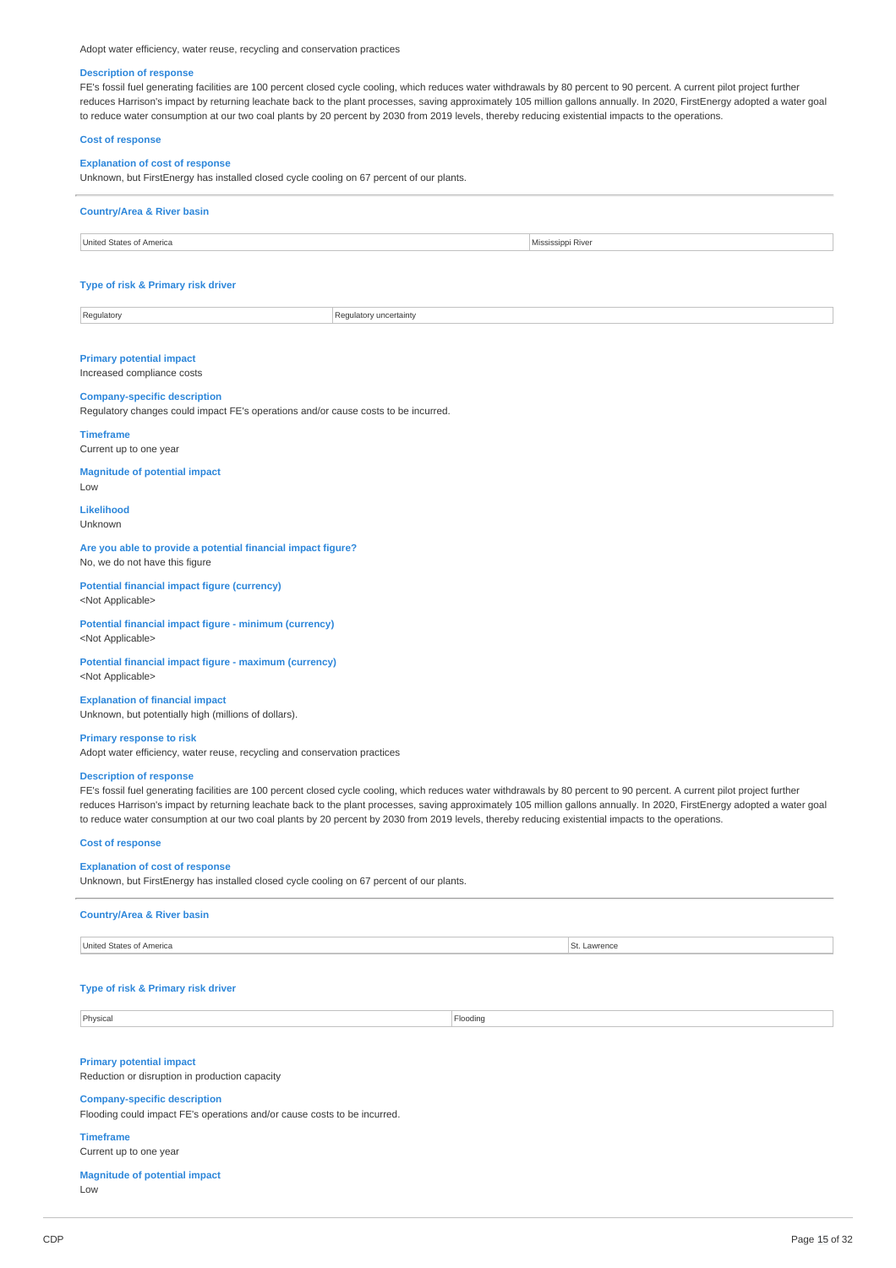Adopt water efficiency, water reuse, recycling and conservation practices

#### **Description of response**

FE's fossil fuel generating facilities are 100 percent closed cycle cooling, which reduces water withdrawals by 80 percent to 90 percent. A current pilot project further reduces Harrison's impact by returning leachate back to the plant processes, saving approximately 105 million gallons annually. In 2020, FirstEnergy adopted a water goal to reduce water consumption at our two coal plants by 20 percent by 2030 from 2019 levels, thereby reducing existential impacts to the operations.

### **Cost of response**

#### **Explanation of cost of response**

Unknown, but FirstEnergy has installed closed cycle cooling on 67 percent of our plants.

## **Country/Area & River basin**



# **Type of risk & Primary risk driver**

| Regulatory | Regulatory uncertainty |
|------------|------------------------|

### **Primary potential impact**

Increased compliance costs

#### **Company-specific description**

Regulatory changes could impact FE's operations and/or cause costs to be incurred.

## **Timeframe**

Current up to one year

## **Magnitude of potential impact**

Low

**Likelihood** Unknown

#### **Are you able to provide a potential financial impact figure?** No, we do not have this figure

**Potential financial impact figure (currency)** <Not Applicable>

#### **Potential financial impact figure - minimum (currency)** <Not Applicable>

**Potential financial impact figure - maximum (currency)** <Not Applicable>

**Explanation of financial impact** Unknown, but potentially high (millions of dollars).

#### **Primary response to risk**

Adopt water efficiency, water reuse, recycling and conservation practices

#### **Description of response**

FE's fossil fuel generating facilities are 100 percent closed cycle cooling, which reduces water withdrawals by 80 percent to 90 percent. A current pilot project further reduces Harrison's impact by returning leachate back to the plant processes, saving approximately 105 million gallons annually. In 2020, FirstEnergy adopted a water goal to reduce water consumption at our two coal plants by 20 percent by 2030 from 2019 levels, thereby reducing existential impacts to the operations

#### **Cost of response**

### **Explanation of cost of response**

Unknown, but FirstEnergy has installed closed cycle cooling on 67 percent of our plants.

#### **Country/Area & River basin**

United States of America St. Lawrence

#### **Type of risk & Primary risk driver**

Physical Flooding

**Primary potential impact**

Reduction or disruption in production capacity

#### **Company-specific description**

Flooding could impact FE's operations and/or cause costs to be incurred.

## **Timeframe**

Current up to one year

#### **Magnitude of potential impact** Low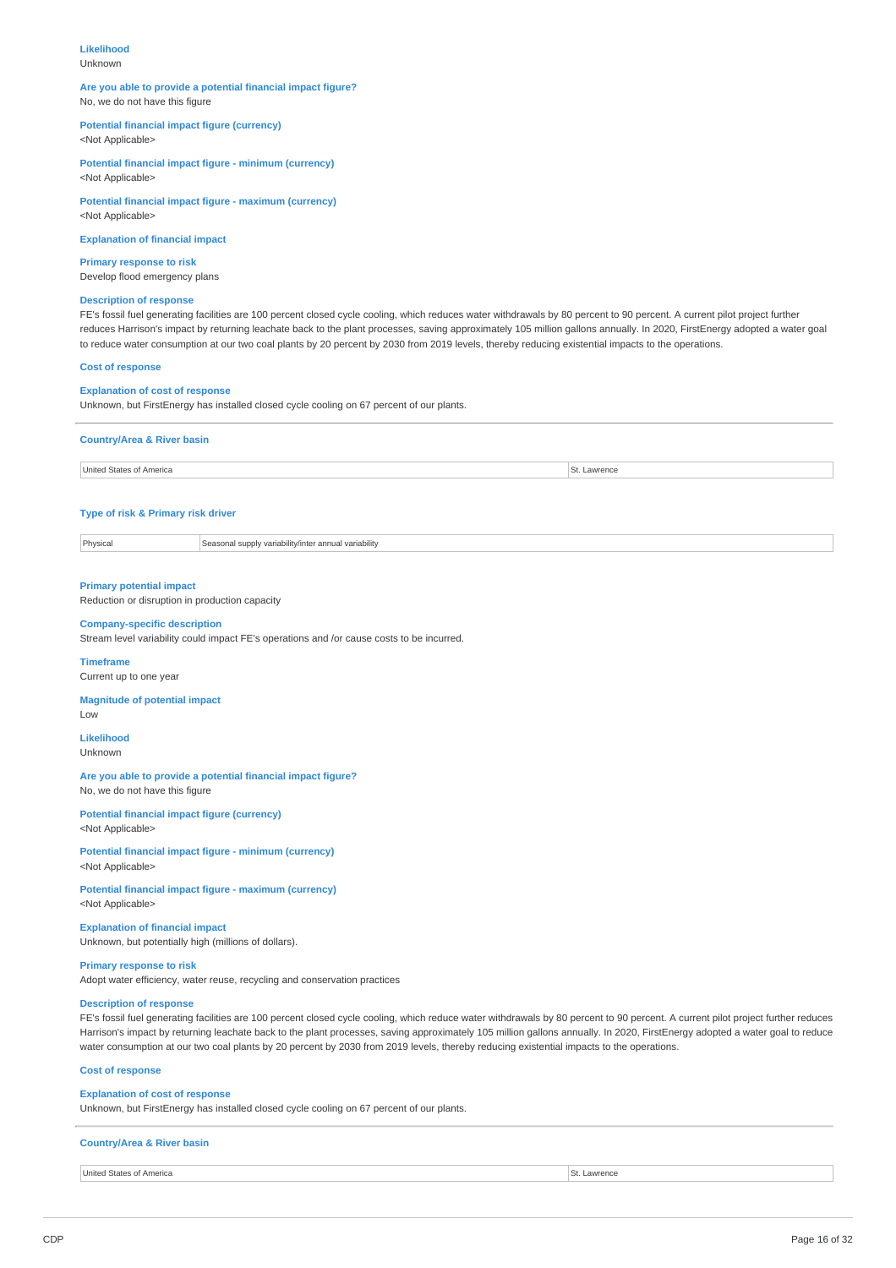## **Likelihood**

Unknown

### **Are you able to provide a potential financial impact figure?** No, we do not have this figure

## **Potential financial impact figure (currency)**

<Not Applicable>

**Potential financial impact figure - minimum (currency)** <Not Applicable>

**Potential financial impact figure - maximum (currency)** <Not Applicable>

**Explanation of financial impact**

**Primary response to risk** Develop flood emergency plans

## **Description of response**

FE's fossil fuel generating facilities are 100 percent closed cycle cooling, which reduces water withdrawals by 80 percent to 90 percent. A current pilot project further reduces Harrison's impact by returning leachate back to the plant processes, saving approximately 105 million gallons annually. In 2020, FirstEnergy adopted a water goal to reduce water consumption at our two coal plants by 20 percent by 2030 from 2019 levels, thereby reducing existential impacts to the operations.

### **Cost of response**

### **Explanation of cost of response**

Unknown, but FirstEnergy has installed closed cycle cooling on 67 percent of our plants.

| <b>Country/Area &amp; River basin</b> |          |
|---------------------------------------|----------|
| United States of America              | Lawrence |

## **Type of risk & Primary risk driver**

Physical Seasonal supply variability/inter annual variability

### **Primary potential impact**

Reduction or disruption in production capacity

#### **Company-specific description**

Stream level variability could impact FE's operations and /or cause costs to be incurred.

#### **Timeframe**

Current up to one year

## **Magnitude of potential impact**

Low

#### **Likelihood** Unknown

**Are you able to provide a potential financial impact figure?** No, we do not have this figure

**Potential financial impact figure (currency)** <Not Applicable>

**Potential financial impact figure - minimum (currency)** <Not Applicable>

**Potential financial impact figure - maximum (currency)** <Not Applicable>

## **Explanation of financial impact** Unknown, but potentially high (millions of dollars).

**Primary response to risk**

Adopt water efficiency, water reuse, recycling and conservation practices

## **Description of response**

FE's fossil fuel generating facilities are 100 percent closed cycle cooling, which reduce water withdrawals by 80 percent to 90 percent. A current pilot project further reduces Harrison's impact by returning leachate back to the plant processes, saving approximately 105 million gallons annually. In 2020, FirstEnergy adopted a water goal to reduce water consumption at our two coal plants by 20 percent by 2030 from 2019 levels, thereby reducing existential impacts to the operations.

### **Cost of response**

## **Explanation of cost of response**

Unknown, but FirstEnergy has installed closed cycle cooling on 67 percent of our plants.

## **Country/Area & River basin**

United States of America St. Lawrence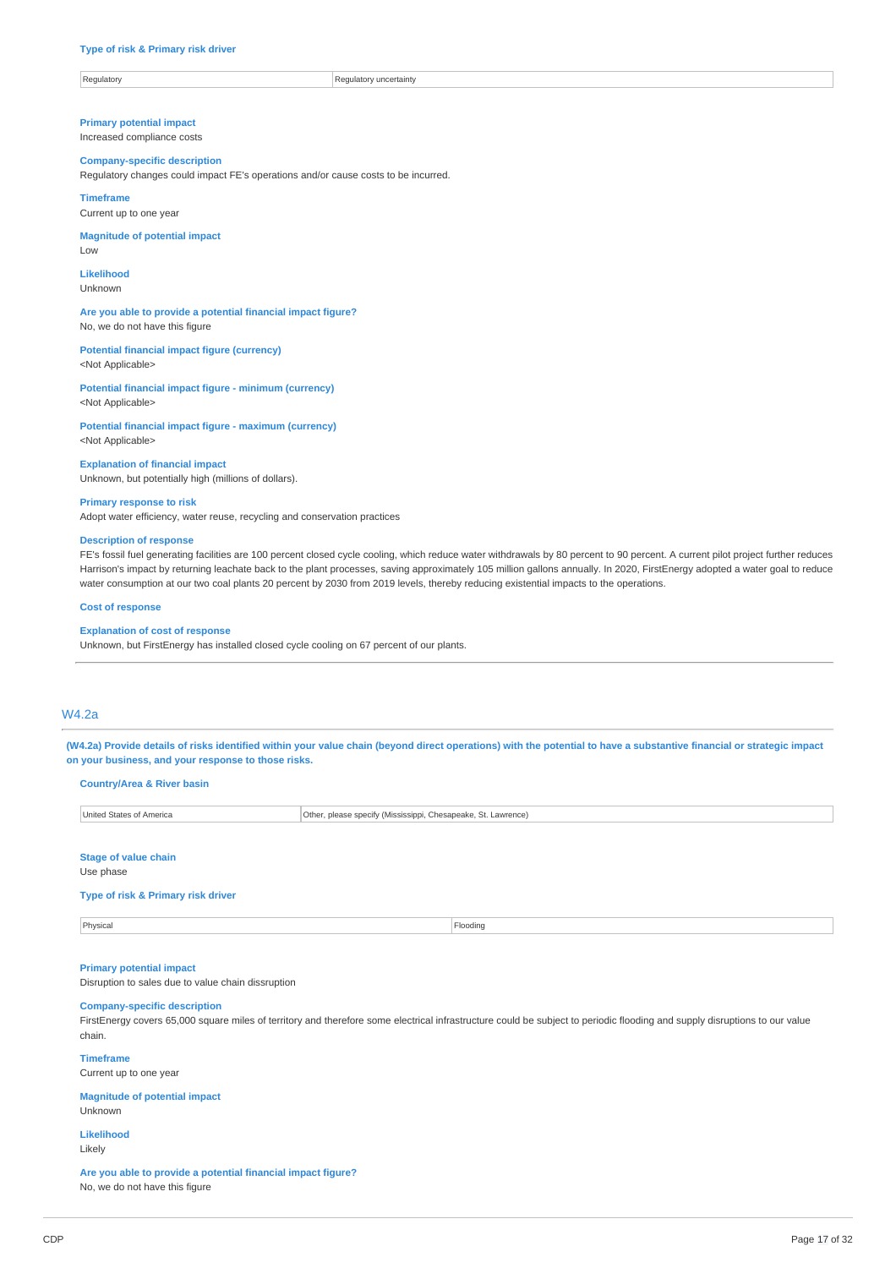| Regulatory<br>.iator<br>uncertain |  |
|-----------------------------------|--|
|                                   |  |

**Primary potential impact** Increased compliance costs

#### **Company-specific description**

Regulatory changes could impact FE's operations and/or cause costs to be incurred.

**Timeframe**

Current up to one year

**Magnitude of potential impact** Low

**Likelihood** Unknown

**Are you able to provide a potential financial impact figure?** No, we do not have this figure

**Potential financial impact figure (currency)** <Not Applicable>

**Potential financial impact figure - minimum (currency)** <Not Applicable>

**Potential financial impact figure - maximum (currency)** <Not Applicable>

**Explanation of financial impact** Unknown, but potentially high (millions of dollars).

### **Primary response to risk**

Adopt water efficiency, water reuse, recycling and conservation practices

**Are you able to provide a potential financial impact figure?**

No, we do not have this figure

#### **Description of response**

FE's fossil fuel generating facilities are 100 percent closed cycle cooling, which reduce water withdrawals by 80 percent to 90 percent. A current pilot project further reduces Harrison's impact by returning leachate back to the plant processes, saving approximately 105 million gallons annually. In 2020, FirstEnergy adopted a water goal to reduce water consumption at our two coal plants 20 percent by 2030 from 2019 levels, thereby reducing existential impacts to the operations.

#### **Cost of response**

#### **Explanation of cost of response**

Unknown, but FirstEnergy has installed closed cycle cooling on 67 percent of our plants.

## W4.2a

(W4.2a) Provide details of risks identified within your value chain (beyond direct operations) with the potential to have a substantive financial or strategic impact **on your business, and your response to those risks.**

**Country/Area & River basin** United States of America **Other, please specify (Mississippi, Chesapeake, St. Lawrence) Stage of value chain** Use phase **Type of risk & Primary risk driver** Physical Flooding **Primary potential impact** Disruption to sales due to value chain dissruption **Company-specific description** FirstEnergy covers 65,000 square miles of territory and therefore some electrical infrastructure could be subject to periodic flooding and supply disruptions to our value chain. **Timeframe** Current up to one year **Magnitude of potential impact** Unknown **Likelihood** Likely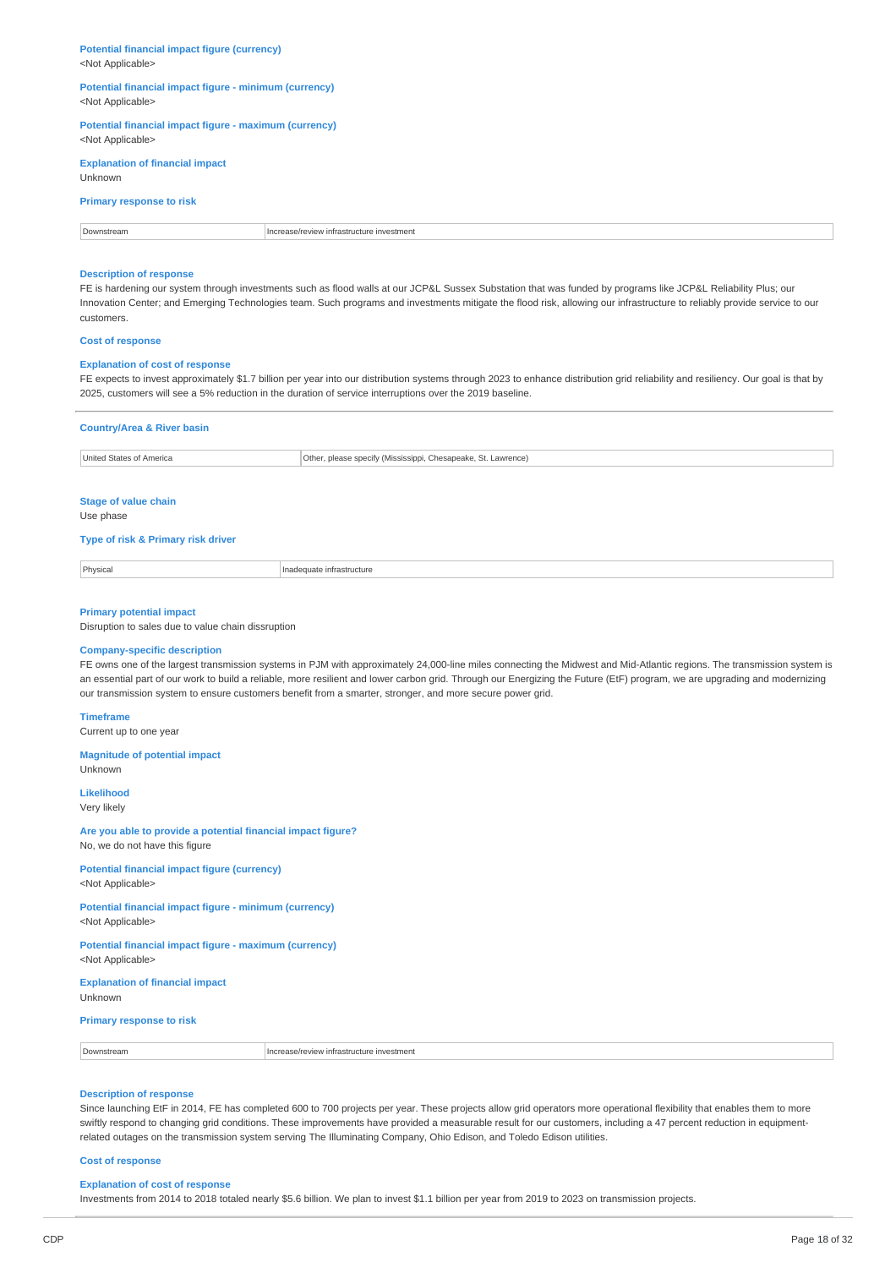**Potential financial impact figure (currency)** <Not Applicable>

### **Potential financial impact figure - minimum (currency)** <Not Applicable>

**Potential financial impact figure - maximum (currency)** <Not Applicable>

## **Explanation of financial impact** Unknown

## **Primary response to risk**

| Downstream | investment<br>ncrease/review infrastructure |
|------------|---------------------------------------------|

## **Description of response**

FE is hardening our system through investments such as flood walls at our JCP&L Sussex Substation that was funded by programs like JCP&L Reliability Plus; our Innovation Center; and Emerging Technologies team. Such programs and investments mitigate the flood risk, allowing our infrastructure to reliably provide service to our customers.

#### **Cost of response**

#### **Explanation of cost of response**

FE expects to invest approximately \$1.7 billion per year into our distribution systems through 2023 to enhance distribution grid reliability and resiliency. Our goal is that by 2025, customers will see a 5% reduction in the duration of service interruptions over the 2019 baseline.

| <b>Country/Area &amp; River basin</b>                                                                                        |                                                                                                                                                                                                                                                                                                                                                                                                                                                                    |  |
|------------------------------------------------------------------------------------------------------------------------------|--------------------------------------------------------------------------------------------------------------------------------------------------------------------------------------------------------------------------------------------------------------------------------------------------------------------------------------------------------------------------------------------------------------------------------------------------------------------|--|
| United States of America                                                                                                     | Other, please specify (Mississippi, Chesapeake, St. Lawrence)                                                                                                                                                                                                                                                                                                                                                                                                      |  |
|                                                                                                                              |                                                                                                                                                                                                                                                                                                                                                                                                                                                                    |  |
| <b>Stage of value chain</b>                                                                                                  |                                                                                                                                                                                                                                                                                                                                                                                                                                                                    |  |
| Use phase                                                                                                                    |                                                                                                                                                                                                                                                                                                                                                                                                                                                                    |  |
| Type of risk & Primary risk driver                                                                                           |                                                                                                                                                                                                                                                                                                                                                                                                                                                                    |  |
| Physical                                                                                                                     | Inadequate infrastructure                                                                                                                                                                                                                                                                                                                                                                                                                                          |  |
| <b>Primary potential impact</b><br>Disruption to sales due to value chain dissruption<br><b>Company-specific description</b> | FE owns one of the largest transmission systems in PJM with approximately 24,000-line miles connecting the Midwest and Mid-Atlantic regions. The transmission system is<br>an essential part of our work to build a reliable, more resilient and lower carbon grid. Through our Energizing the Future (EtF) program, we are upgrading and modernizing<br>our transmission system to ensure customers benefit from a smarter, stronger, and more secure power grid. |  |
| <b>Timeframe</b><br>Current up to one year                                                                                   |                                                                                                                                                                                                                                                                                                                                                                                                                                                                    |  |
| <b>Magnitude of potential impact</b><br>Unknown                                                                              |                                                                                                                                                                                                                                                                                                                                                                                                                                                                    |  |
| <b>Likelihood</b><br>Verv likely                                                                                             |                                                                                                                                                                                                                                                                                                                                                                                                                                                                    |  |

**Are you able to provide a potential financial impact figure?** No, we do not have this figure

**Potential financial impact figure (currency)** <Not Applicable>

**Potential financial impact figure - minimum (currency)** <Not Applicable>

**Potential financial impact figure - maximum (currency)** <Not Applicable>

**Explanation of financial impact** Unknown

**Primary response to risk**

Downstream **Increase/review infrastructure investment** 

## **Description of response**

Since launching EtF in 2014, FE has completed 600 to 700 projects per year. These projects allow grid operators more operational flexibility that enables them to more swiftly respond to changing grid conditions. These improvements have provided a measurable result for our customers, including a 47 percent reduction in equipmentrelated outages on the transmission system serving The Illuminating Company, Ohio Edison, and Toledo Edison utilities.

**Cost of response**

## **Explanation of cost of response**

Investments from 2014 to 2018 totaled nearly \$5.6 billion. We plan to invest \$1.1 billion per year from 2019 to 2023 on transmission projects.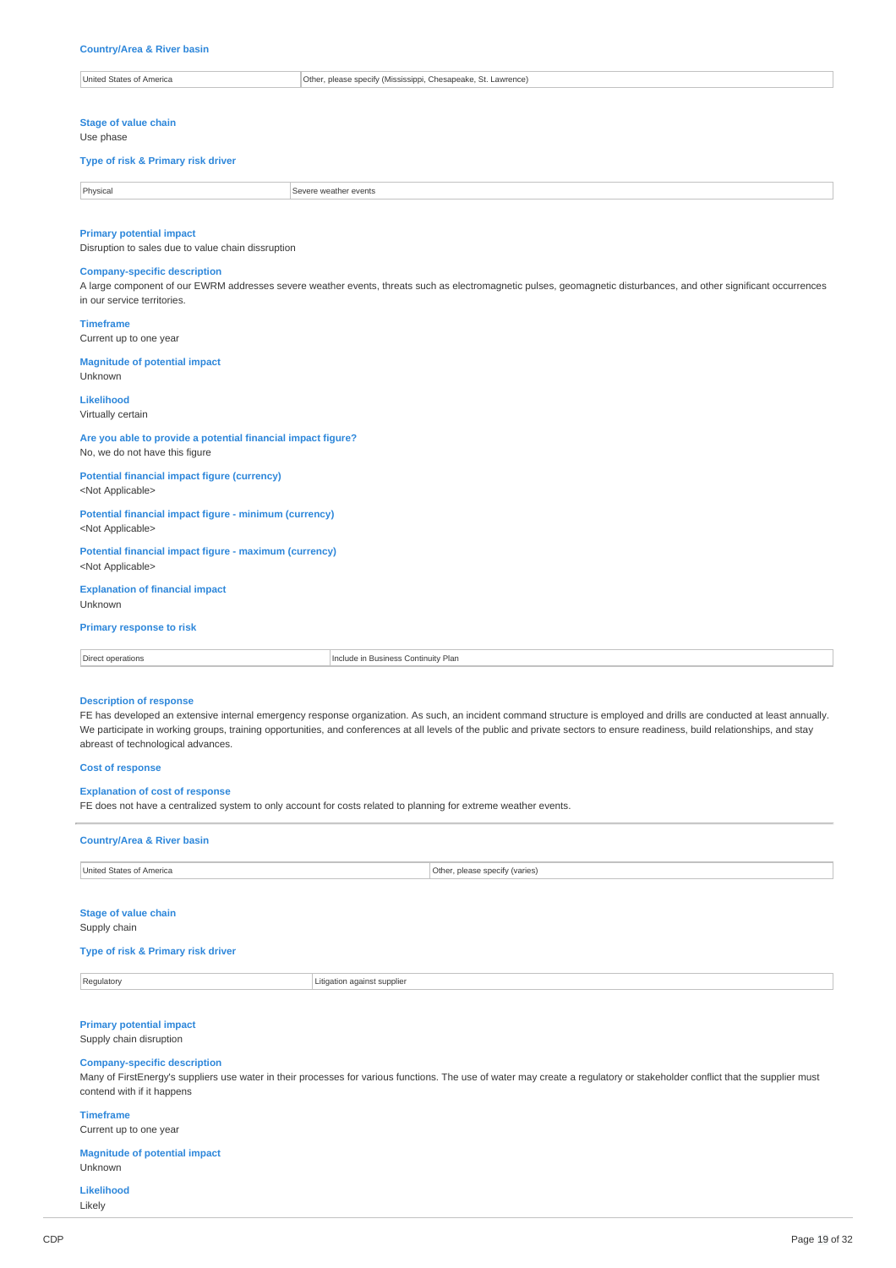| United<br>State:<br><sup>+</sup> Americ. | Othe<br>please specify<br>Chesapeake<br>Lawrence)<br>' (Mississinni |
|------------------------------------------|---------------------------------------------------------------------|
|                                          |                                                                     |

**Stage of value chain** Use phase

### **Type of risk & Primary risk driver**

| Physical | r events |
|----------|----------|
| $\sim$   |          |
| .        | .        |

## **Primary potential impact**

Disruption to sales due to value chain dissruption

## **Company-specific description**

A large component of our EWRM addresses severe weather events, threats such as electromagnetic pulses, geomagnetic disturbances, and other significant occurrences in our service territories.

**Timeframe** Current up to one year

## **Magnitude of potential impact**

Unknown **Likelihood**

Virtually certain

## **Are you able to provide a potential financial impact figure?** No, we do not have this figure

**Potential financial impact figure (currency)** <Not Applicable>

## **Potential financial impact figure - minimum (currency)** <Not Applicable>

**Potential financial impact figure - maximum (currency)** <Not Applicable>

## **Explanation of financial impact**

Unknown

## **Primary response to risk**

| $\sim$<br>ontinuity Plan<br>operations<br>usiness.<br>IN BI<br>11500<br>-11 11 |  |
|--------------------------------------------------------------------------------|--|
|--------------------------------------------------------------------------------|--|

## **Description of response**

FE has developed an extensive internal emergency response organization. As such, an incident command structure is employed and drills are conducted at least annually. We participate in working groups, training opportunities, and conferences at all levels of the public and private sectors to ensure readiness, build relationships, and stay abreast of technological advances.

### **Cost of response**

## **Explanation of cost of response**

FE does not have a centralized system to only account for costs related to planning for extreme weather events.

# **Country/Area & River basin** United States of America **Other, please specify (varies)**

## **Stage of value chain**

Supply chain

## **Type of risk & Primary risk driver**

**Regulatory Regulatory Regulatory Regulatory Regulatory Regulatory Regulatory Regulatory Regulatory Regulatory Regulatory Regulatory Regulatory Regulatory Regulatory Regulatory Regulatory**

## **Primary potential impact**

Supply chain disruption

## **Company-specific description**

Many of FirstEnergy's suppliers use water in their processes for various functions. The use of water may create a regulatory or stakeholder conflict that the supplier must contend with if it happens

### **Timeframe** Current up to one year

**Magnitude of potential impact** Unknown

**Likelihood** Likely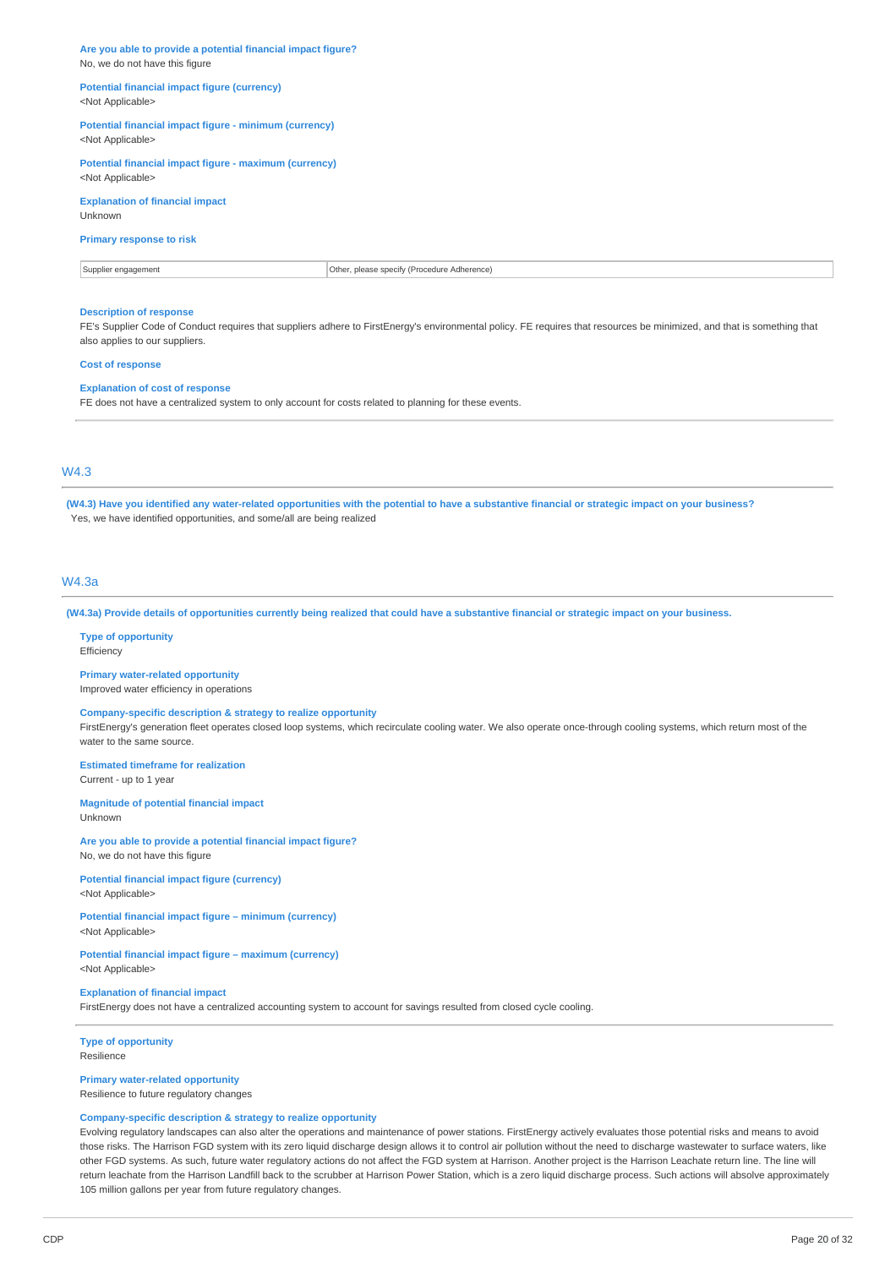**Are you able to provide a potential financial impact figure?** No, we do not have this figure

#### **Potential financial impact figure (currency)** <Not Applicable>

**Potential financial impact figure - minimum (currency)**

<Not Applicable>

**Potential financial impact figure - maximum (currency)** <Not Applicable>

## **Explanation of financial impact** Unknown

## **Primary response to risk**

Supplier engagement **Constant Constant Constant Constant Constant Constant Constant Constant Constant Constant Constant Constant Constant Constant Constant Constant Constant Constant Constant Constant Constant Constant Con** 

## **Description of response**

FE's Supplier Code of Conduct requires that suppliers adhere to FirstEnergy's environmental policy. FE requires that resources be minimized, and that is something that also applies to our suppliers.

## **Cost of response**

### **Explanation of cost of response**

FE does not have a centralized system to only account for costs related to planning for these events.

## W4.3

(W4.3) Have you identified any water-related opportunities with the potential to have a substantive financial or strategic impact on your business? Yes, we have identified opportunities, and some/all are being realized

## W4.3a

(W4.3a) Provide details of opportunities currently being realized that could have a substantive financial or strategic impact on your business.

## **Type of opportunity**

Efficiency

## **Primary water-related opportunity**

Improved water efficiency in operations

## **Company-specific description & strategy to realize opportunity**

FirstEnergy's generation fleet operates closed loop systems, which recirculate cooling water. We also operate once-through cooling systems, which return most of the water to the same source.

## **Estimated timeframe for realization**

Current - up to 1 year

#### **Magnitude of potential financial impact** Unknown

**Are you able to provide a potential financial impact figure?**

No, we do not have this figure

## **Potential financial impact figure (currency)** <Not Applicable>

#### **Potential financial impact figure – minimum (currency)** <Not Applicable>

**Potential financial impact figure – maximum (currency)** <Not Applicable>

## **Explanation of financial impact**

FirstEnergy does not have a centralized accounting system to account for savings resulted from closed cycle cooling.

#### **Type of opportunity** Resilience

**Primary water-related opportunity**

Resilience to future regulatory changes

## **Company-specific description & strategy to realize opportunity**

Evolving regulatory landscapes can also alter the operations and maintenance of power stations. FirstEnergy actively evaluates those potential risks and means to avoid those risks. The Harrison FGD system with its zero liquid discharge design allows it to control air pollution without the need to discharge wastewater to surface waters, like other FGD systems. As such, future water regulatory actions do not affect the FGD system at Harrison. Another project is the Harrison Leachate return line. The line will return leachate from the Harrison Landfill back to the scrubber at Harrison Power Station, which is a zero liquid discharge process. Such actions will absolve approximately 105 million gallons per year from future regulatory changes.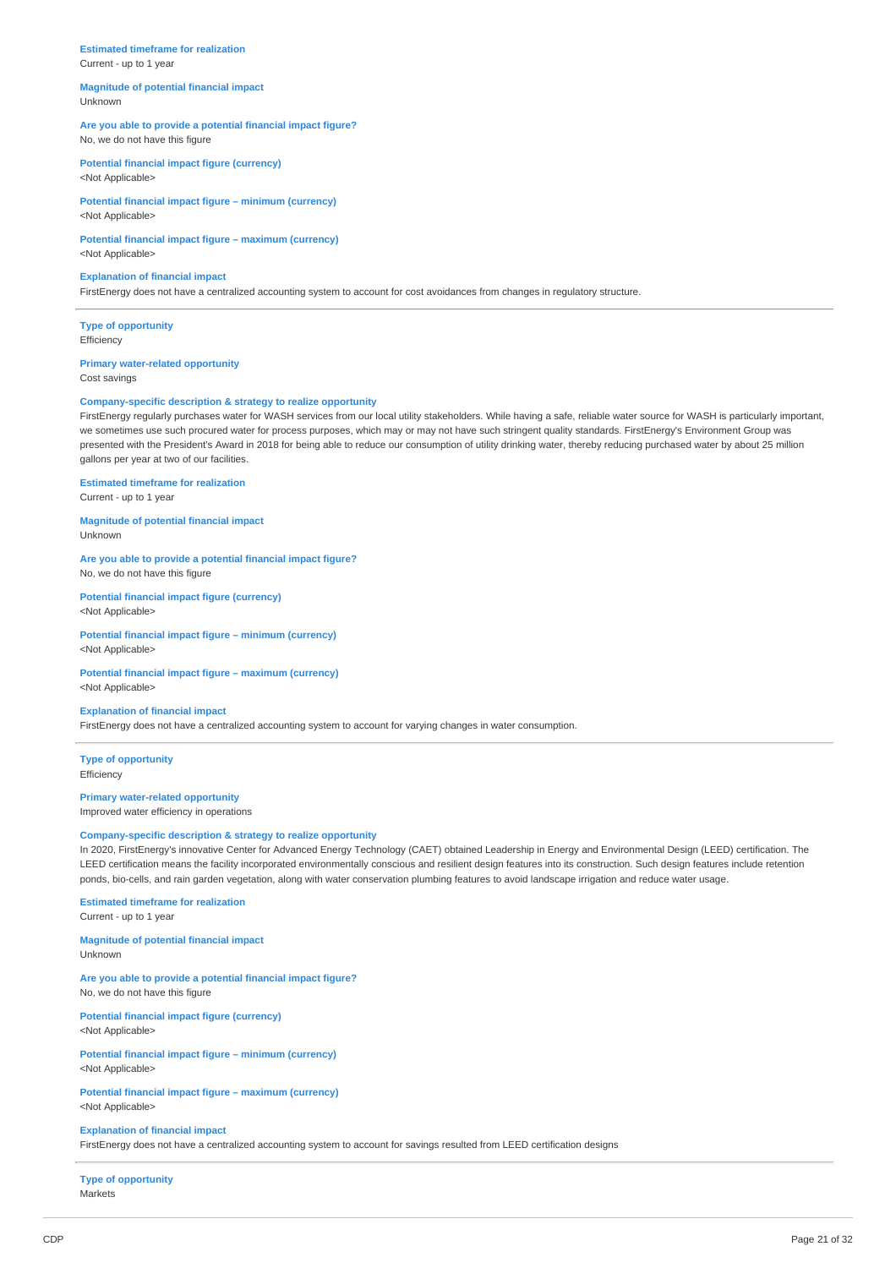## **Estimated timeframe for realization**

Current - up to 1 year

<Not Applicable>

#### **Magnitude of potential financial impact** Unknown

## **Are you able to provide a potential financial impact figure?** No, we do not have this figure

**Potential financial impact figure (currency)**

**Potential financial impact figure – minimum (currency)** <Not Applicable>

**Potential financial impact figure – maximum (currency)** <Not Applicable>

## **Explanation of financial impact**

FirstEnergy does not have a centralized accounting system to account for cost avoidances from changes in regulatory structure.

**Type of opportunity Efficiency** 

## **Primary water-related opportunity**

Cost savings

## **Company-specific description & strategy to realize opportunity**

FirstEnergy regularly purchases water for WASH services from our local utility stakeholders. While having a safe, reliable water source for WASH is particularly important, we sometimes use such procured water for process purposes, which may or may not have such stringent quality standards. FirstEnergy's Environment Group was presented with the President's Award in 2018 for being able to reduce our consumption of utility drinking water, thereby reducing purchased water by about 25 million gallons per year at two of our facilities.

## **Estimated timeframe for realization**

Current - up to 1 year

**Magnitude of potential financial impact** Unknown

**Are you able to provide a potential financial impact figure?** No, we do not have this figure

## **Potential financial impact figure (currency)** <Not Applicable>

**Potential financial impact figure – minimum (currency)** <Not Applicable>

## **Potential financial impact figure – maximum (currency)** <Not Applicable>

**Explanation of financial impact**

FirstEnergy does not have a centralized accounting system to account for varying changes in water consumption.

**Type of opportunity** Efficiency

### **Primary water-related opportunity** Improved water efficiency in operations

#### **Company-specific description & strategy to realize opportunity**

In 2020, FirstEnergy's innovative Center for Advanced Energy Technology (CAET) obtained Leadership in Energy and Environmental Design (LEED) certification. The LEED certification means the facility incorporated environmentally conscious and resilient design features into its construction. Such design features include retention ponds, bio-cells, and rain garden vegetation, along with water conservation plumbing features to avoid landscape irrigation and reduce water usage.

#### **Estimated timeframe for realization** Current - up to 1 year

**Magnitude of potential financial impact**

Unknown

### **Are you able to provide a potential financial impact figure?** No, we do not have this figure

**Potential financial impact figure (currency)** <Not Applicable>

**Potential financial impact figure – minimum (currency)** <Not Applicable>

### **Potential financial impact figure – maximum (currency)** <Not Applicable>

#### **Explanation of financial impact**

FirstEnergy does not have a centralized accounting system to account for savings resulted from LEED certification designs

**Type of opportunity** Markets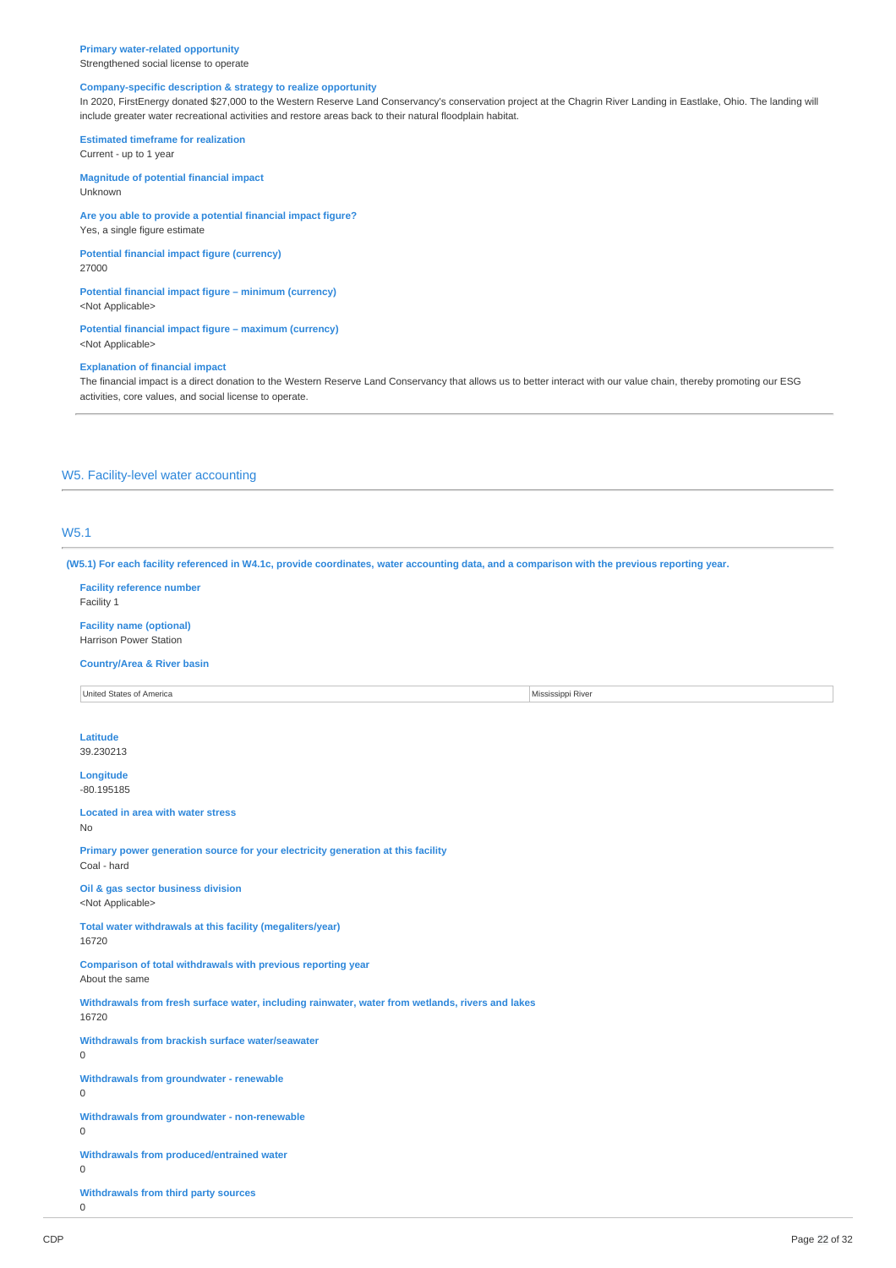Strengthened social license to operate

## **Company-specific description & strategy to realize opportunity**

In 2020, FirstEnergy donated \$27,000 to the Western Reserve Land Conservancy's conservation project at the Chagrin River Landing in Eastlake, Ohio. The landing will include greater water recreational activities and restore areas back to their natural floodplain habitat.

**Estimated timeframe for realization** Current - up to 1 year

**Magnitude of potential financial impact** Unknown

**Are you able to provide a potential financial impact figure?** Yes, a single figure estimate

**Potential financial impact figure (currency)** 27000

**Potential financial impact figure – minimum (currency)** <Not Applicable>

**Potential financial impact figure – maximum (currency)** <Not Applicable>

### **Explanation of financial impact**

The financial impact is a direct donation to the Western Reserve Land Conservancy that allows us to better interact with our value chain, thereby promoting our ESG activities, core values, and social license to operate.

## W5. Facility-level water accounting

## W5.1

(W5.1) For each facility referenced in W4.1c, provide coordinates, water accounting data, and a comparison with the previous reporting year.

**Facility reference number** Facility 1

**Facility name (optional)** Harrison Power Station

**Country/Area & River basin**

United States of America **Mississippi River** 

**Latitude** 39.230213

**Longitude** -80.195185

**Located in area with water stress** No

**Primary power generation source for your electricity generation at this facility** Coal - hard

**Oil & gas sector business division** <Not Applicable>

**Total water withdrawals at this facility (megaliters/year)** 16720

**Comparison of total withdrawals with previous reporting year** About the same

**Withdrawals from fresh surface water, including rainwater, water from wetlands, rivers and lakes**

**Withdrawals from brackish surface water/seawater**

**Withdrawals from groundwater - renewable**  $\Omega$ 

 $\Omega$ 

16720

**Withdrawals from groundwater - non-renewable** 0

**Withdrawals from produced/entrained water**

0

**Withdrawals from third party sources**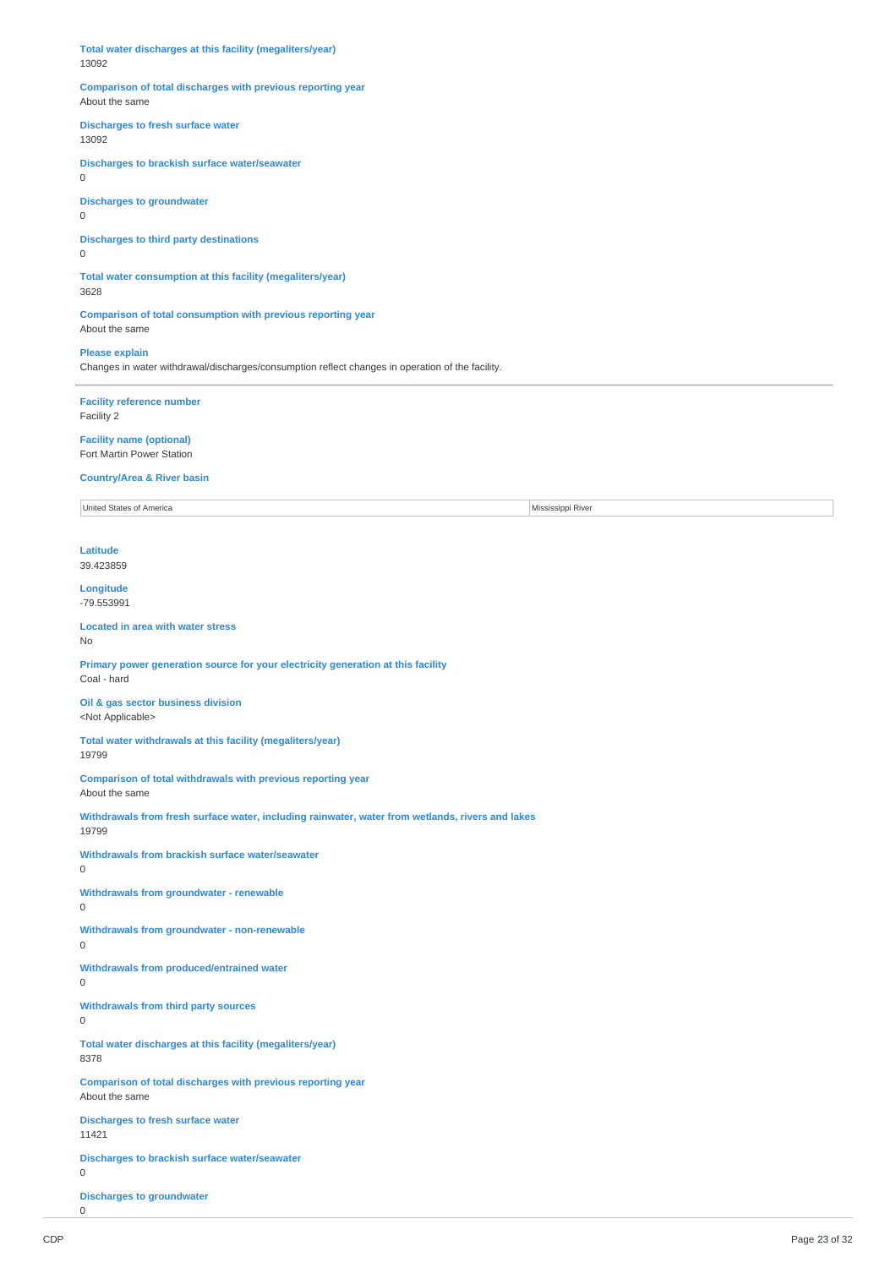**Total water discharges at this facility (megaliters/year)** 13092

## **Comparison of total discharges with previous reporting year** About the same

**Discharges to fresh surface water**

13092

**Discharges to brackish surface water/seawater** 0

**Discharges to groundwater**

0

**Discharges to third party destinations**

0

**Total water consumption at this facility (megaliters/year)** 3628

**Comparison of total consumption with previous reporting year** About the same

**Please explain**

Changes in water withdrawal/discharges/consumption reflect changes in operation of the facility.

**Facility reference number** Facility 2

**Facility name (optional)** Fort Martin Power Station

**Country/Area & River basin**

United States of America Mississippi River

**Latitude** 39.423859

**Longitude** -79.553991

#### **Located in area with water stress** No

**Primary power generation source for your electricity generation at this facility** Coal - hard

**Oil & gas sector business division** <Not Applicable>

**Total water withdrawals at this facility (megaliters/year)** 19799

**Comparison of total withdrawals with previous reporting year** About the same

**Withdrawals from fresh surface water, including rainwater, water from wetlands, rivers and lakes** 19799

**Withdrawals from brackish surface water/seawater**  $\Omega$ 

**Withdrawals from groundwater - renewable**

 $\Omega$ 

**Withdrawals from groundwater - non-renewable**

 $\Omega$ 

**Withdrawals from produced/entrained water**

0

**Withdrawals from third party sources**  $\Omega$ 

**Total water discharges at this facility (megaliters/year)** 8378

**Comparison of total discharges with previous reporting year** About the same

**Discharges to fresh surface water** 11421

**Discharges to brackish surface water/seawater**

 $\Omega$ 

**Discharges to groundwater**  $\Omega$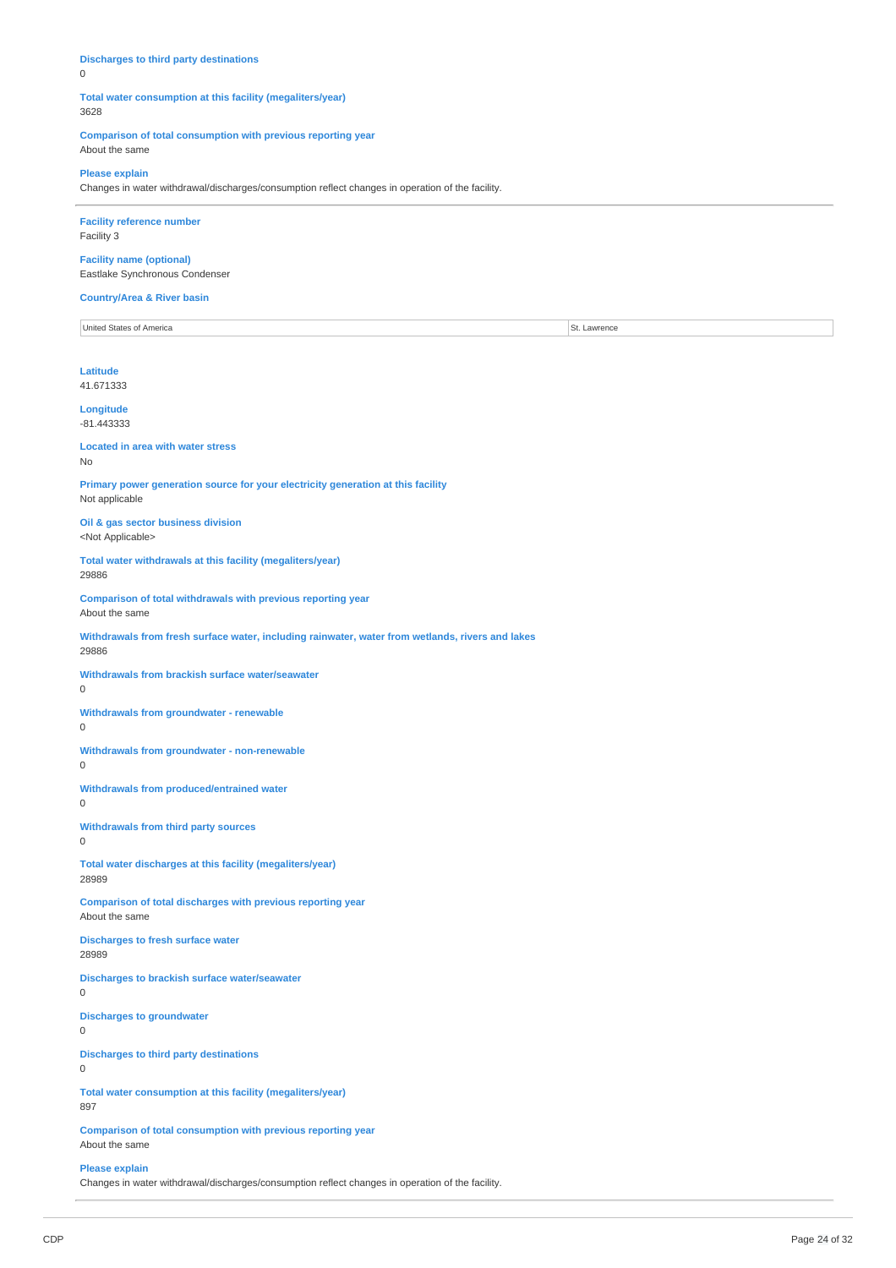## **Discharges to third party destinations**

 $\Omega$ 

#### **Total water consumption at this facility (megaliters/year)** 3628

**Comparison of total consumption with previous reporting year** About the same

## **Please explain**

Changes in water withdrawal/discharges/consumption reflect changes in operation of the facility.

## **Facility reference number** Facility 3

**Facility name (optional)** Eastlake Synchronous Condenser

#### **Country/Area & River basin**

United States of America St. Lawrence

### **Latitude** 41.671333

**Longitude** -81.443333

#### **Located in area with water stress** No

**Primary power generation source for your electricity generation at this facility** Not applicable

**Oil & gas sector business division** <Not Applicable>

**Total water withdrawals at this facility (megaliters/year)** 29886

**Comparison of total withdrawals with previous reporting year** About the same

**Withdrawals from fresh surface water, including rainwater, water from wetlands, rivers and lakes** 29886

**Withdrawals from brackish surface water/seawater** 0

**Withdrawals from groundwater - renewable**

0

**Withdrawals from groundwater - non-renewable** 0

**Withdrawals from produced/entrained water**

0

**Withdrawals from third party sources** 0

**Total water discharges at this facility (megaliters/year)** 28989

**Comparison of total discharges with previous reporting year** About the same

**Discharges to fresh surface water** 28989

**Discharges to brackish surface water/seawater**

0

**Discharges to groundwater** 0

**Discharges to third party destinations**

0

**Total water consumption at this facility (megaliters/year)** 897

**Comparison of total consumption with previous reporting year** About the same

**Please explain**

Changes in water withdrawal/discharges/consumption reflect changes in operation of the facility.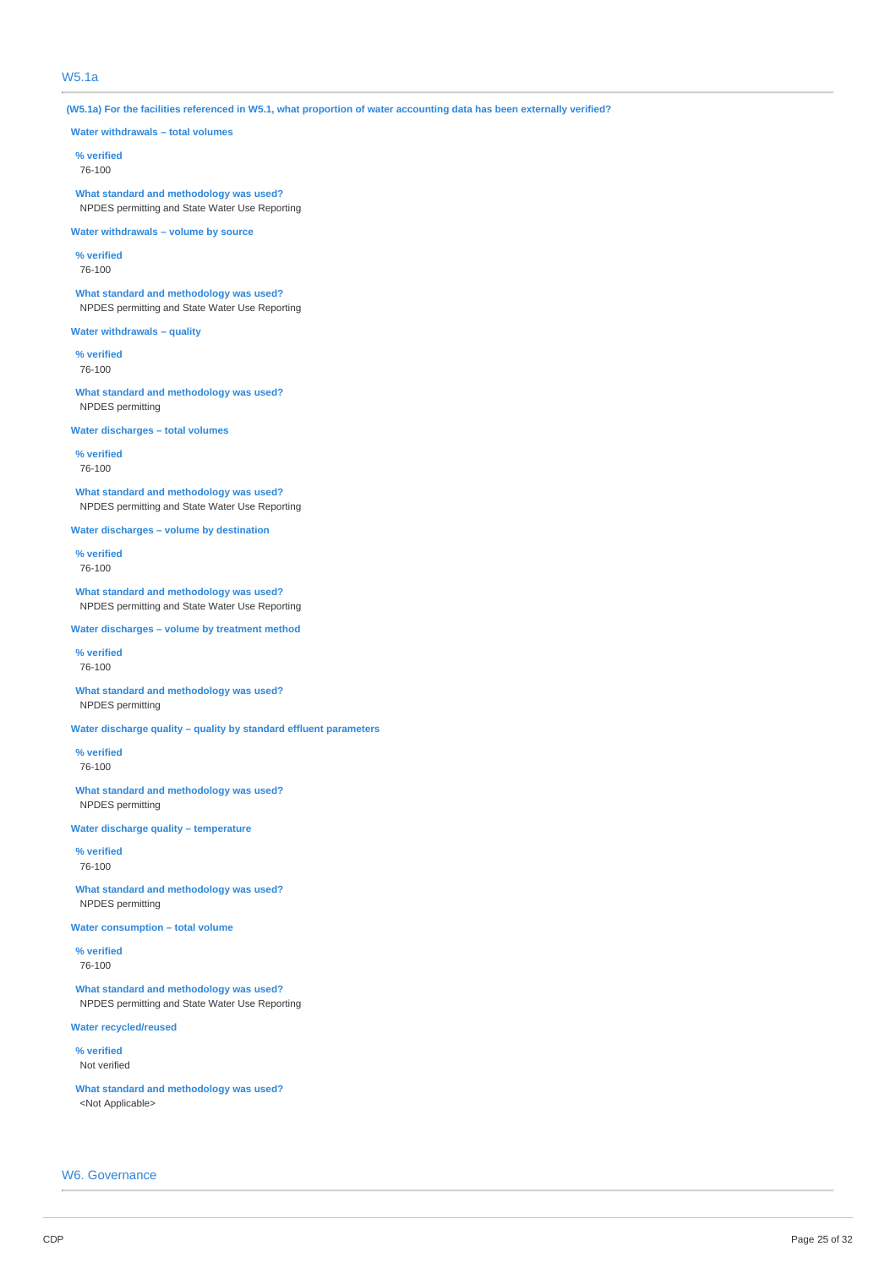## W5.1a

(W5.1a) For the facilities referenced in W5.1, what proportion of water accounting data has been externally verified?

**Water withdrawals – total volumes**

**% verified** 76-100

**What standard and methodology was used?** NPDES permitting and State Water Use Reporting

**Water withdrawals – volume by source**

**% verified**

76-100

**What standard and methodology was used?** NPDES permitting and State Water Use Reporting

**Water withdrawals – quality**

**% verified** 76-100

**What standard and methodology was used?** NPDES permitting

**Water discharges – total volumes**

**% verified** 76-100

**What standard and methodology was used?** NPDES permitting and State Water Use Reporting

**Water discharges – volume by destination**

**% verified** 76-100

**What standard and methodology was used?** NPDES permitting and State Water Use Reporting

**Water discharges – volume by treatment method**

**% verified** 76-100

**What standard and methodology was used?** NPDES permitting

**Water discharge quality – quality by standard effluent parameters**

**% verified** 76-100

**What standard and methodology was used?** NPDES permitting

**Water discharge quality – temperature**

**% verified** 76-100

**What standard and methodology was used?** NPDES permitting

**Water consumption – total volume**

**% verified** 76-100

**What standard and methodology was used?** NPDES permitting and State Water Use Reporting

**Water recycled/reused**

**% verified** Not verified

**What standard and methodology was used?** <Not Applicable>

W6. Governance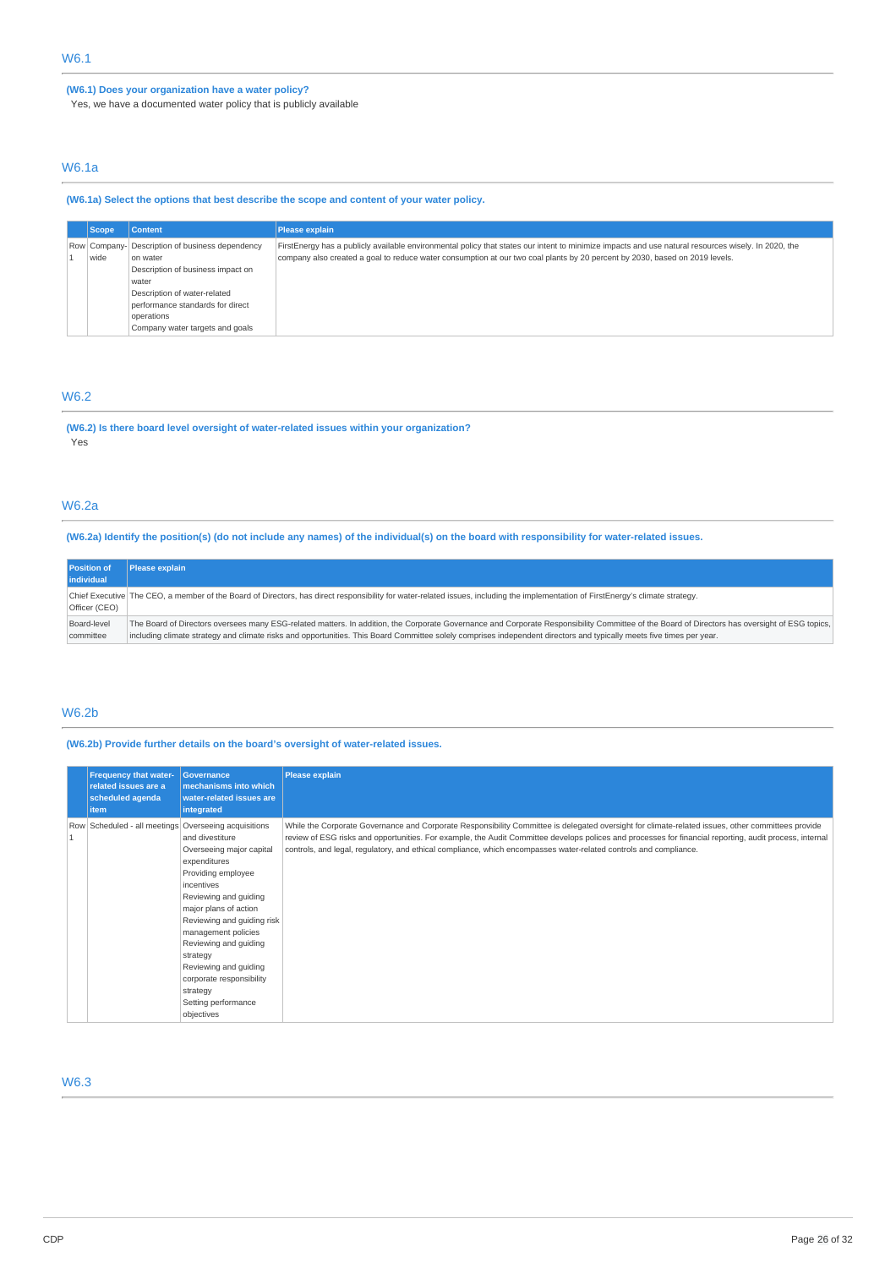## **(W6.1) Does your organization have a water policy?**

Yes, we have a documented water policy that is publicly available

## W6.1a

**(W6.1a) Select the options that best describe the scope and content of your water policy.**

| Scope / | <b>Content</b>                                                                                                                                                                                                                 | <b>Please explain</b>                                                                                                                                                                                                                                                              |
|---------|--------------------------------------------------------------------------------------------------------------------------------------------------------------------------------------------------------------------------------|------------------------------------------------------------------------------------------------------------------------------------------------------------------------------------------------------------------------------------------------------------------------------------|
| wide    | Row Company- Description of business dependency<br>on water<br>Description of business impact on<br>water<br>Description of water-related<br>performance standards for direct<br>operations<br>Company water targets and goals | FirstEnergy has a publicly available environmental policy that states our intent to minimize impacts and use natural resources wisely. In 2020, the<br>company also created a goal to reduce water consumption at our two coal plants by 20 percent by 2030, based on 2019 levels. |

## W6.2

**(W6.2) Is there board level oversight of water-related issues within your organization?** Yes

## W6.2a

(W6.2a) Identify the position(s) (do not include any names) of the individual(s) on the board with responsibility for water-related issues.

| <b>Position of</b><br>individual | <b>Please explain</b>                                                                                                                                                                         |
|----------------------------------|-----------------------------------------------------------------------------------------------------------------------------------------------------------------------------------------------|
| Officer (CEO)                    | Chief Executive The CEO, a member of the Board of Directors, has direct responsibility for water-related issues, including the implementation of FirstEnergy's climate strategy.              |
| Board-level                      | The Board of Directors oversees many ESG-related matters. In addition, the Corporate Governance and Corporate Responsibility Committee of the Board of Directors has oversight of ESG topics, |
| committee                        | including climate strategy and climate risks and opportunities. This Board Committee solely comprises independent directors and typically meets five times per year.                          |

## W6.2b

**(W6.2b) Provide further details on the board's oversight of water-related issues.**

| <b>Frequency that water-</b><br>related issues are a<br>scheduled agenda<br>item | <b>Governance</b><br>mechanisms into which<br><b>water-related issues are</b><br>integrated                                                                                                                                                                                                                                                       | <b>Please explain</b>                                                                                                                                                                                                                                                                                                                                                                                                             |
|----------------------------------------------------------------------------------|---------------------------------------------------------------------------------------------------------------------------------------------------------------------------------------------------------------------------------------------------------------------------------------------------------------------------------------------------|-----------------------------------------------------------------------------------------------------------------------------------------------------------------------------------------------------------------------------------------------------------------------------------------------------------------------------------------------------------------------------------------------------------------------------------|
| Row Scheduled - all meetings Overseeing acquisitions                             | and divestiture<br>Overseeing major capital<br>expenditures<br>Providing employee<br>incentives<br>Reviewing and guiding<br>major plans of action<br>Reviewing and guiding risk<br>management policies<br>Reviewing and guiding<br>strategy<br>Reviewing and guiding<br>corporate responsibility<br>strategy<br>Setting performance<br>objectives | While the Corporate Governance and Corporate Responsibility Committee is delegated oversight for climate-related issues, other committees provide<br>review of ESG risks and opportunities. For example, the Audit Committee develops polices and processes for financial reporting, audit process, internal<br>controls, and legal, regulatory, and ethical compliance, which encompasses water-related controls and compliance. |

## W6.3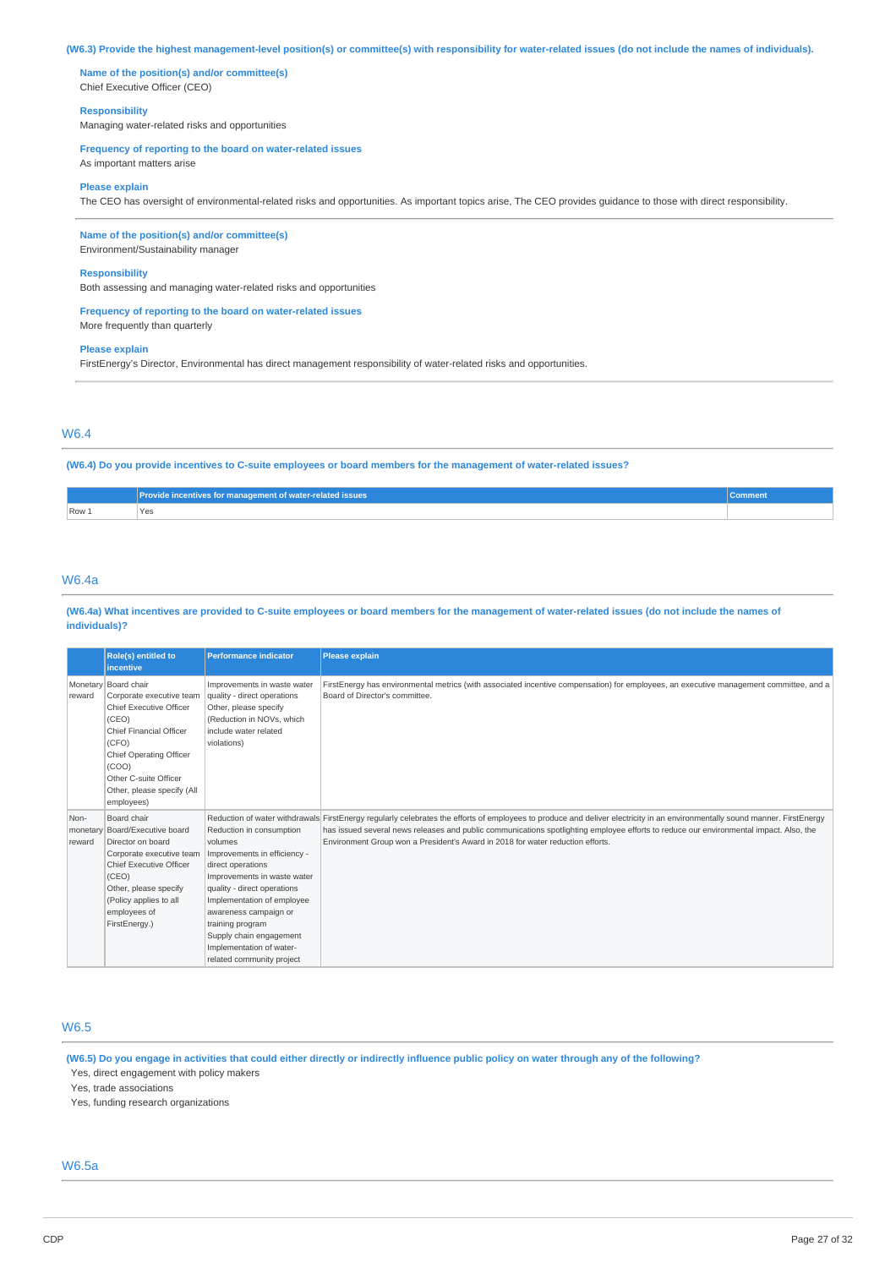## (W6.3) Provide the highest management-level position(s) or committee(s) with responsibility for water-related issues (do not include the names of individuals).

**Name of the position(s) and/or committee(s)** Chief Executive Officer (CEO)

## **Responsibility**

Managing water-related risks and opportunities

### **Frequency of reporting to the board on water-related issues**

As important matters arise

#### **Please explain**

The CEO has oversight of environmental-related risks and opportunities. As important topics arise, The CEO provides guidance to those with direct responsibility.

### **Name of the position(s) and/or committee(s)**

Environment/Sustainability manager

#### **Responsibility**

Both assessing and managing water-related risks and opportunities

#### **Frequency of reporting to the board on water-related issues** More frequently than quarterly

**Please explain**

FirstEnergy's Director, Environmental has direct management responsibility of water-related risks and opportunities.

## W6.4

### (W6.4) Do you provide incentives to C-suite employees or board members for the management of water-related issues?

|       | Provide incentives for management of water-related issues | <b>Comment</b> |
|-------|-----------------------------------------------------------|----------------|
| Row 1 | `Yes                                                      |                |

## W6.4a

#### (W6.4a) What incentives are provided to C-suite employees or board members for the management of water-related issues (do not include the names of **individuals)?**

|                            | Role(s) entitled to<br><i>incentive</i>                                                                                                                                                                                                    | <b>Performance indicator</b>                                                                                                                                                                                                                                                                                          | <b>Please explain</b>                                                                                                                                                                                                                                                                                                                                                                                   |
|----------------------------|--------------------------------------------------------------------------------------------------------------------------------------------------------------------------------------------------------------------------------------------|-----------------------------------------------------------------------------------------------------------------------------------------------------------------------------------------------------------------------------------------------------------------------------------------------------------------------|---------------------------------------------------------------------------------------------------------------------------------------------------------------------------------------------------------------------------------------------------------------------------------------------------------------------------------------------------------------------------------------------------------|
| reward                     | Monetary   Board chair<br>Corporate executive team<br>Chief Executive Officer<br>(CEO)<br><b>Chief Financial Officer</b><br>(CFO)<br>Chief Operating Officer<br>(COO)<br>Other C-suite Officer<br>Other, please specify (All<br>employees) | Improvements in waste water<br>quality - direct operations<br>Other, please specify<br>(Reduction in NOVs, which<br>include water related<br>violations)                                                                                                                                                              | FirstEnergy has environmental metrics (with associated incentive compensation) for employees, an executive management committee, and a<br>Board of Director's committee.                                                                                                                                                                                                                                |
| Non-<br>monetary<br>reward | Board chair<br>Board/Executive board<br>Director on board<br>Corporate executive team<br>Chief Executive Officer<br>(CEO)<br>Other, please specify<br>(Policy applies to all<br>employees of<br>FirstEnergy.)                              | Reduction in consumption<br>volumes<br>Improvements in efficiency -<br>direct operations<br>Improvements in waste water<br>quality - direct operations<br>Implementation of employee<br>awareness campaign or<br>training program<br>Supply chain engagement<br>Implementation of water-<br>related community project | Reduction of water withdrawals FirstEnergy regularly celebrates the efforts of employees to produce and deliver electricity in an environmentally sound manner. FirstEnergy<br>has issued several news releases and public communications spotlighting employee efforts to reduce our environmental impact. Also, the<br>Environment Group won a President's Award in 2018 for water reduction efforts. |

## W6.5

(W6.5) Do you engage in activities that could either directly or indirectly influence public policy on water through any of the following?

Yes, direct engagement with policy makers

Yes, trade associations

Yes, funding research organizations

## W6.5a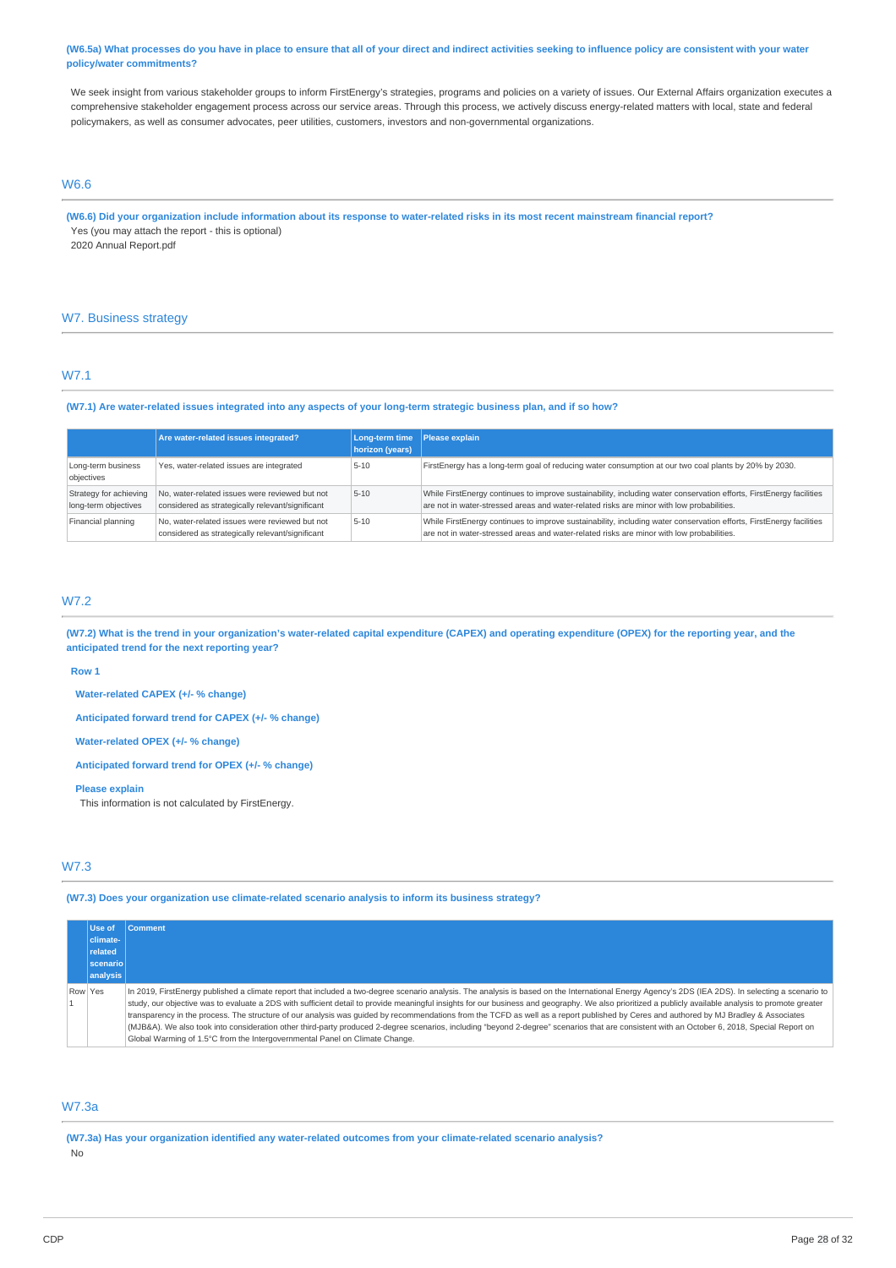(W6.5a) What processes do you have in place to ensure that all of your direct and indirect activities seeking to influence policy are consistent with your water **policy/water commitments?**

We seek insight from various stakeholder groups to inform FirstEnergy's strategies, programs and policies on a variety of issues. Our External Affairs organization executes a comprehensive stakeholder engagement process across our service areas. Through this process, we actively discuss energy-related matters with local, state and federal policymakers, as well as consumer advocates, peer utilities, customers, investors and non-governmental organizations.

## W6.6

(W6.6) Did your organization include information about its response to water-related risks in its most recent mainstream financial report? Yes (you may attach the report - this is optional) 2020 Annual Report.pdf

## W7. Business strategy

## W7.1

### (W7.1) Are water-related issues integrated into any aspects of your long-term strategic business plan, and if so how?

|                                                | Are water-related issues integrated?                                                               | Long-term time Please explain<br>horizon (years) |                                                                                                                                                                                                                  |
|------------------------------------------------|----------------------------------------------------------------------------------------------------|--------------------------------------------------|------------------------------------------------------------------------------------------------------------------------------------------------------------------------------------------------------------------|
| Long-term business<br>objectives               | Yes, water-related issues are integrated                                                           | $5 - 10$                                         | FirstEnergy has a long-term goal of reducing water consumption at our two coal plants by 20% by 2030.                                                                                                            |
| Strategy for achieving<br>long-term objectives | No, water-related issues were reviewed but not<br>considered as strategically relevant/significant | $5 - 10$                                         | While FirstEnergy continues to improve sustainability, including water conservation efforts, FirstEnergy facilities<br>are not in water-stressed areas and water-related risks are minor with low probabilities. |
| Financial planning                             | No, water-related issues were reviewed but not<br>considered as strategically relevant/significant | $5 - 10$                                         | While FirstEnergy continues to improve sustainability, including water conservation efforts, FirstEnergy facilities<br>are not in water-stressed areas and water-related risks are minor with low probabilities. |

## W7.2

(W7.2) What is the trend in your organization's water-related capital expenditure (CAPEX) and operating expenditure (OPEX) for the reporting year, and the **anticipated trend for the next reporting year?**

#### **Row 1**

**Water-related CAPEX (+/- % change)**

**Anticipated forward trend for CAPEX (+/- % change)**

**Water-related OPEX (+/- % change)**

**Anticipated forward trend for OPEX (+/- % change)**

#### **Please explain**

This information is not calculated by FirstEnergy.

## W7.3

**(W7.3) Does your organization use climate-related scenario analysis to inform its business strategy?**

|         | Use of    | <b>Comment</b>                                                                                                                                                                                        |
|---------|-----------|-------------------------------------------------------------------------------------------------------------------------------------------------------------------------------------------------------|
|         | climate-  |                                                                                                                                                                                                       |
|         | related   |                                                                                                                                                                                                       |
|         | scenariol |                                                                                                                                                                                                       |
|         | analysis  |                                                                                                                                                                                                       |
| Row Yes |           | In 2019, FirstEnergy published a climate report that included a two-degree scenario analysis. The analysis is based on the International Energy Agency's 2DS (IEA 2DS). In selecting a scenario to    |
|         |           | study, our objective was to evaluate a 2DS with sufficient detail to provide meaningful insights for our business and geography. We also prioritized a publicly available analysis to promote greater |
|         |           | transparency in the process. The structure of our analysis was quided by recommendations from the TCFD as well as a report published by Ceres and authored by MJ Bradley & Associates                 |
|         |           | (MJB&A). We also took into consideration other third-party produced 2-degree scenarios, including "beyond 2-degree" scenarios that are consistent with an October 6, 2018, Special Report on          |
|         |           | Global Warming of 1.5°C from the Intergovernmental Panel on Climate Change.                                                                                                                           |

## W7.3a

**(W7.3a) Has your organization identified any water-related outcomes from your climate-related scenario analysis?**

No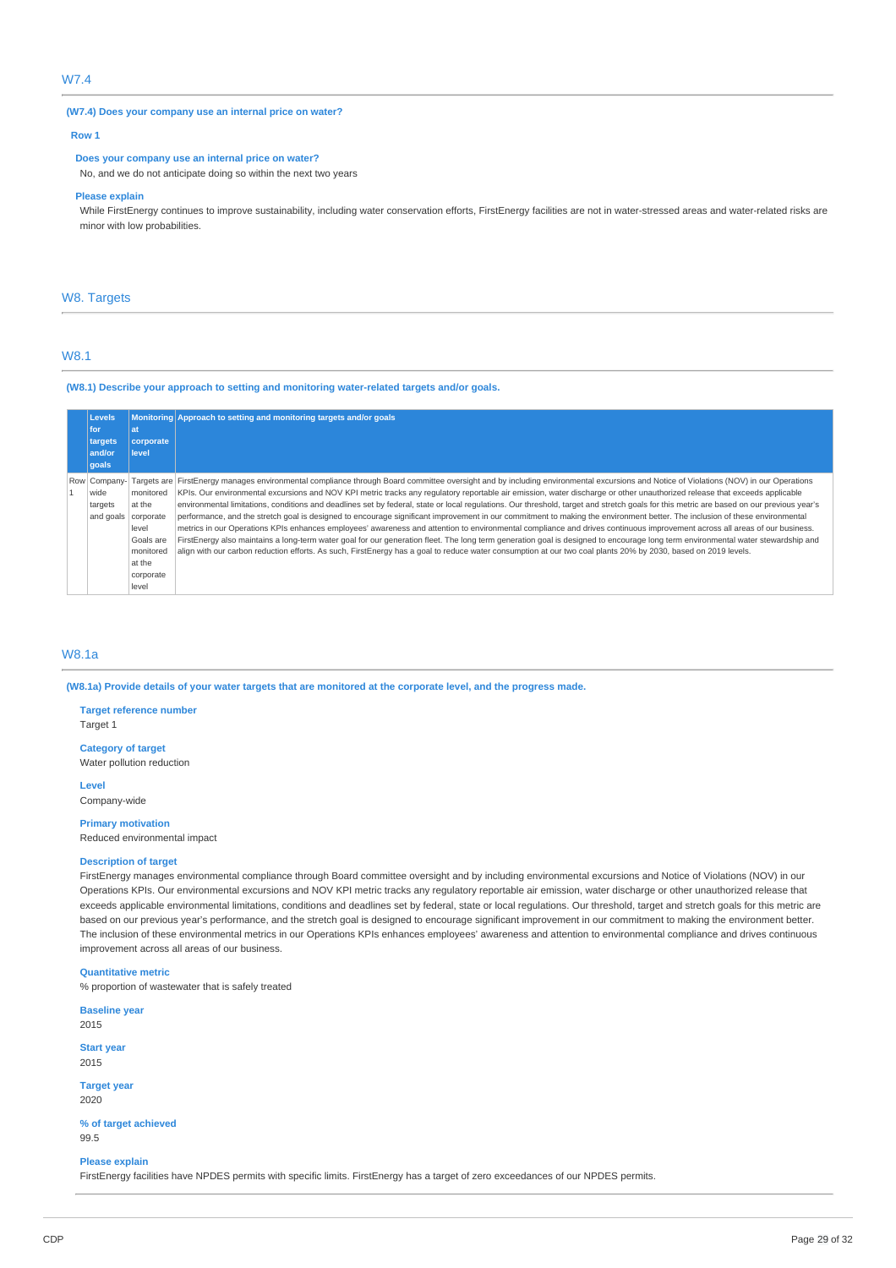## W7.4

### **(W7.4) Does your company use an internal price on water?**

#### **Row 1**

## **Does your company use an internal price on water?**

No, and we do not anticipate doing so within the next two years

#### **Please explain**

While FirstEnergy continues to improve sustainability, including water conservation efforts, FirstEnergy facilities are not in water-stressed areas and water-related risks are minor with low probabilities.

### W8. Targets

## W8.1

## **(W8.1) Describe your approach to setting and monitoring water-related targets and/or goals.**

|  | <b>Levels</b> |           | Monitoring Approach to setting and monitoring targets and/or goals                                                                                                                       |  |
|--|---------------|-----------|------------------------------------------------------------------------------------------------------------------------------------------------------------------------------------------|--|
|  | for           | lat       |                                                                                                                                                                                          |  |
|  | targets       | corporate |                                                                                                                                                                                          |  |
|  | and/or        | level     |                                                                                                                                                                                          |  |
|  | goals         |           |                                                                                                                                                                                          |  |
|  | Row Company-  |           | Targets are FirstEnergy manages environmental compliance through Board committee oversight and by including environmental excursions and Notice of Violations (NOV) in our Operations    |  |
|  | wide          | monitored | KPIs. Our environmental excursions and NOV KPI metric tracks any regulatory reportable air emission, water discharge or other unauthorized release that exceeds applicable               |  |
|  | targets       | at the    | environmental limitations, conditions and deadlines set by federal, state or local regulations. Our threshold, target and stretch goals for this metric are based on our previous year's |  |
|  | and goals     | corporate | performance, and the stretch goal is designed to encourage significant improvement in our commitment to making the environment better. The inclusion of these environmental              |  |
|  |               | level     | metrics in our Operations KPIs enhances employees' awareness and attention to environmental compliance and drives continuous improvement across all areas of our business.               |  |
|  |               | Goals are | FirstEnergy also maintains a long-term water goal for our generation fleet. The long term generation goal is designed to encourage long term environmental water stewardship and         |  |
|  |               | monitored | align with our carbon reduction efforts. As such, FirstEnergy has a goal to reduce water consumption at our two coal plants 20% by 2030, based on 2019 levels.                           |  |
|  |               | at the    |                                                                                                                                                                                          |  |
|  |               | corporate |                                                                                                                                                                                          |  |
|  |               | level     |                                                                                                                                                                                          |  |

## W8.1a

(W8.1a) Provide details of your water targets that are monitored at the corporate level, and the progress made.

### **Target reference number**

Target 1

**Category of target** Water pollution reduction

**Level** Company-wide

**Primary motivation**

## Reduced environmental impact

## **Description of target**

FirstEnergy manages environmental compliance through Board committee oversight and by including environmental excursions and Notice of Violations (NOV) in our Operations KPIs. Our environmental excursions and NOV KPI metric tracks any regulatory reportable air emission, water discharge or other unauthorized release that exceeds applicable environmental limitations, conditions and deadlines set by federal, state or local regulations. Our threshold, target and stretch goals for this metric are based on our previous year's performance, and the stretch goal is designed to encourage significant improvement in our commitment to making the environment better. The inclusion of these environmental metrics in our Operations KPIs enhances employees' awareness and attention to environmental compliance and drives continuous improvement across all areas of our business.

#### **Quantitative metric**

% proportion of wastewater that is safely treated

**Baseline year** 2015

**Start year** 2015

**Target year** 2020

**% of target achieved** 99.5

## **Please explain**

FirstEnergy facilities have NPDES permits with specific limits. FirstEnergy has a target of zero exceedances of our NPDES permits.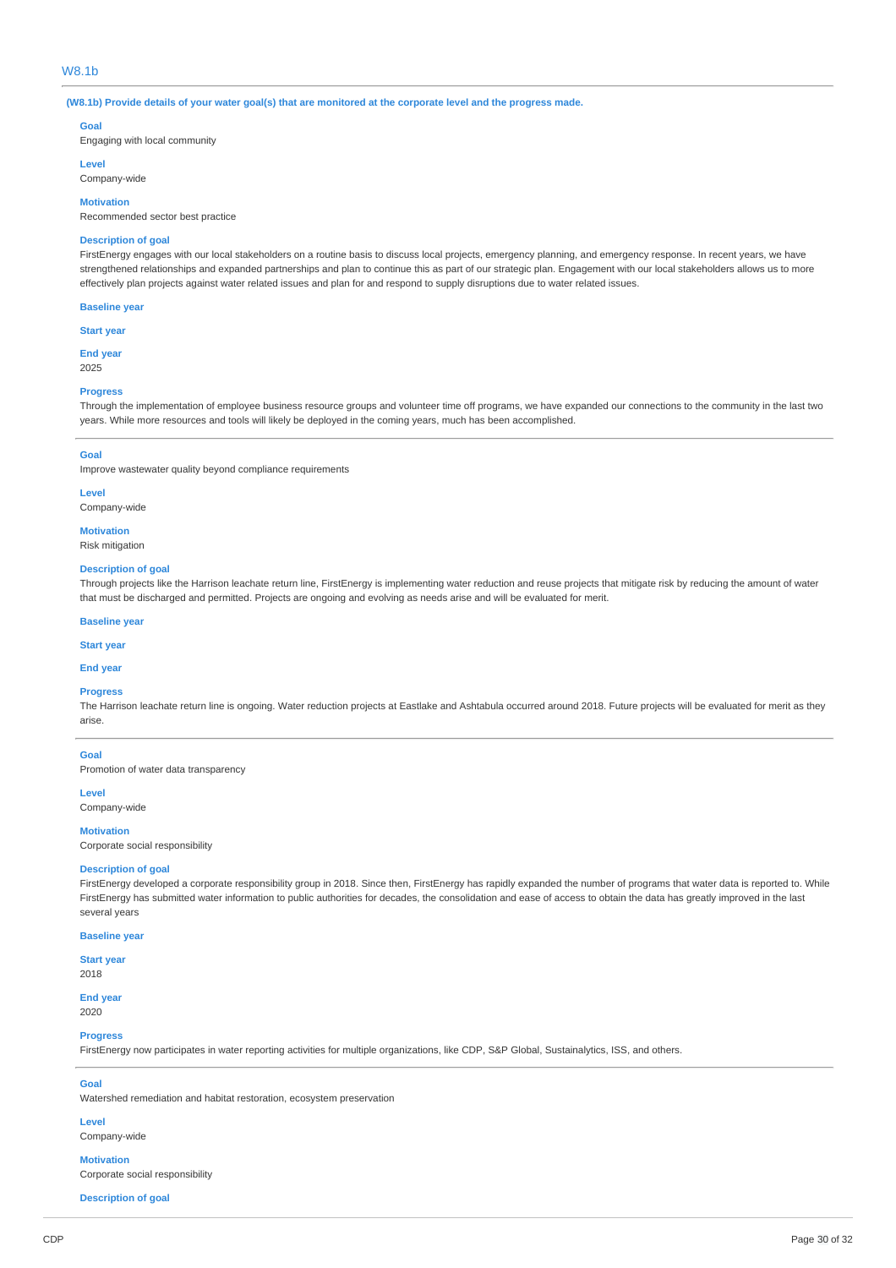## W8.1b

(W8.1b) Provide details of your water goal(s) that are monitored at the corporate level and the progress made.

#### **Goal**

Engaging with local community

### **Level**

Company-wide

#### **Motivation**

Recommended sector best practice

### **Description of goal**

FirstEnergy engages with our local stakeholders on a routine basis to discuss local projects, emergency planning, and emergency response. In recent years, we have strengthened relationships and expanded partnerships and plan to continue this as part of our strategic plan. Engagement with our local stakeholders allows us to more effectively plan projects against water related issues and plan for and respond to supply disruptions due to water related issues.

#### **Baseline year**

**Start year**

**End year** 2025

#### **Progress**

Through the implementation of employee business resource groups and volunteer time off programs, we have expanded our connections to the community in the last two years. While more resources and tools will likely be deployed in the coming years, much has been accomplished.

#### **Goal**

Improve wastewater quality beyond compliance requirements

#### **Level**

Company-wide

**Motivation**

Risk mitigation

### **Description of goal**

Through projects like the Harrison leachate return line, FirstEnergy is implementing water reduction and reuse projects that mitigate risk by reducing the amount of water that must be discharged and permitted. Projects are ongoing and evolving as needs arise and will be evaluated for merit.

### **Baseline year**

**Start year**

## **End year**

### **Progress**

The Harrison leachate return line is ongoing. Water reduction projects at Eastlake and Ashtabula occurred around 2018. Future projects will be evaluated for merit as they arise.

### **Goal**

Promotion of water data transparency

**Level**

Company-wide

#### **Motivation**

Corporate social responsibility

#### **Description of goal**

FirstEnergy developed a corporate responsibility group in 2018. Since then, FirstEnergy has rapidly expanded the number of programs that water data is reported to. While FirstEnergy has submitted water information to public authorities for decades, the consolidation and ease of access to obtain the data has greatly improved in the last several years

## **Baseline year**

**Start year**

## 2018

**End year**

## 2020

**Progress**

FirstEnergy now participates in water reporting activities for multiple organizations, like CDP, S&P Global, Sustainalytics, ISS, and others.

#### **Goal**

Watershed remediation and habitat restoration, ecosystem preservation

#### **Level**

Company-wide

#### **Motivation**

Corporate social responsibility

**Description of goal**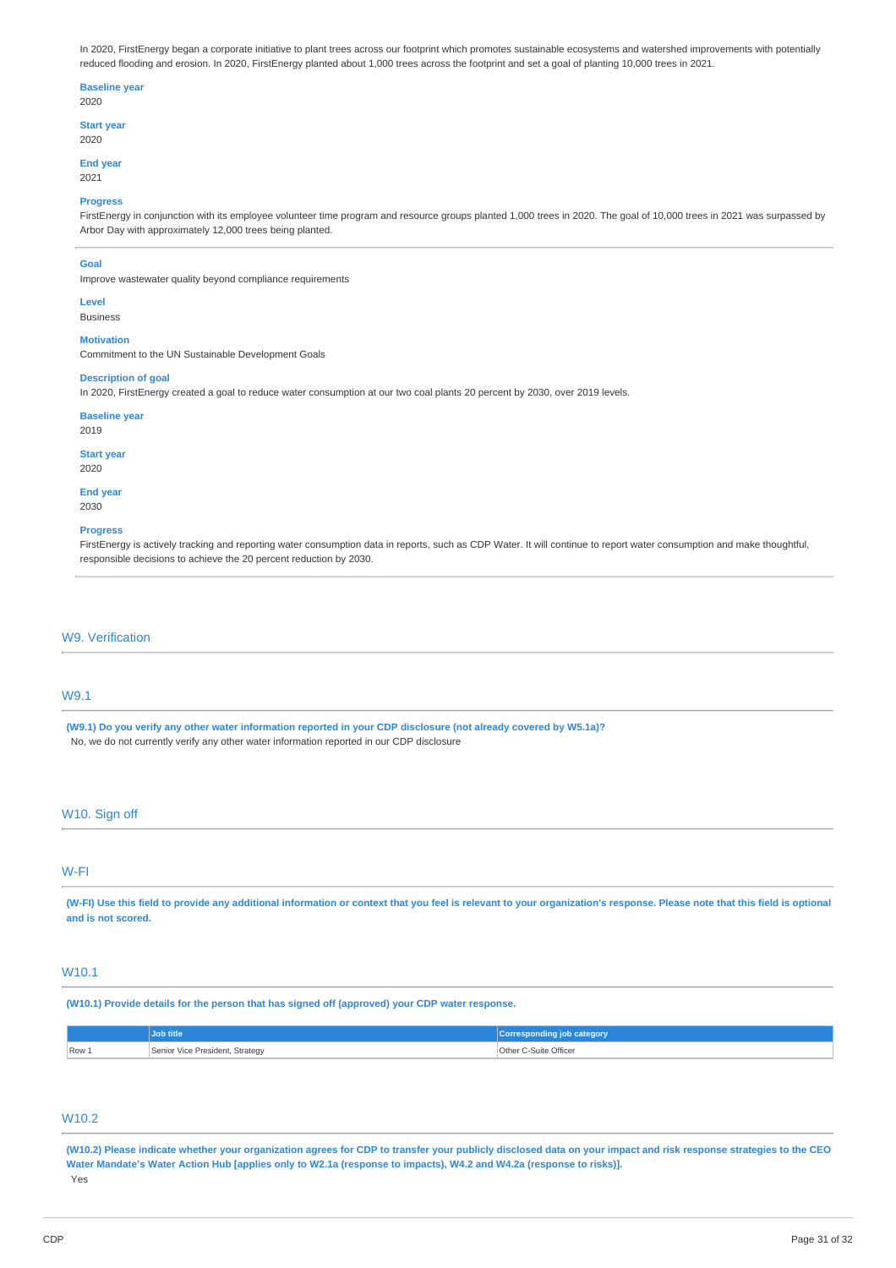In 2020, FirstEnergy began a corporate initiative to plant trees across our footprint which promotes sustainable ecosystems and watershed improvements with potentially reduced flooding and erosion. In 2020, FirstEnergy planted about 1,000 trees across the footprint and set a goal of planting 10,000 trees in 2021.

#### **Baseline year** 2020

**Start year** 2020

## **End year**

2021

### **Progress**

FirstEnergy in conjunction with its employee volunteer time program and resource groups planted 1,000 trees in 2020. The goal of 10,000 trees in 2021 was surpassed by Arbor Day with approximately 12,000 trees being planted.

### **Goal**

Improve wastewater quality beyond compliance requirements

## **Level**

Business

### **Motivation**

Commitment to the UN Sustainable Development Goals

## **Description of goal**

In 2020, FirstEnergy created a goal to reduce water consumption at our two coal plants 20 percent by 2030, over 2019 levels.

### **Baseline year**

2019

#### **Start year** 2020

**End year**

## 2030

### **Progress**

FirstEnergy is actively tracking and reporting water consumption data in reports, such as CDP Water. It will continue to report water consumption and make thoughtful, responsible decisions to achieve the 20 percent reduction by 2030.

## W9. Verification

## W9.1

(W9.1) Do you verify any other water information reported in your CDP disclosure (not already covered by W5.1a)? No, we do not currently verify any other water information reported in our CDP disclosure

## W10. Sign off

## W-FI

(W-FI) Use this field to provide any additional information or context that you feel is relevant to your organization's response. Please note that this field is optional **and is not scored.**

## W10.1

**(W10.1) Provide details for the person that has signed off (approved) your CDP water response.**

|       | Job title                       | Corresponding job category |
|-------|---------------------------------|----------------------------|
| Row 1 | Senior Vice President, Strategy | Other C-Suite Officer      |

## W10.2

(W10.2) Please indicate whether your organization agrees for CDP to transfer your publicly disclosed data on your impact and risk response strategies to the CEO Water Mandate's Water Action Hub [applies only to W2.1a (response to impacts), W4.2 and W4.2a (response to risks)]. Yes